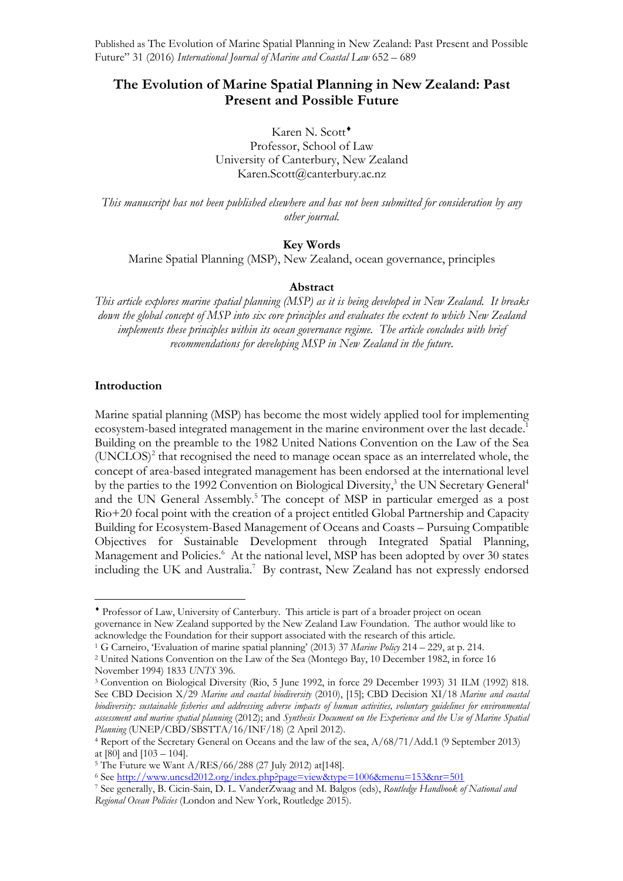# **The Evolution of Marine Spatial Planning in New Zealand: Past Present and Possible Future**

Karen N. Scott<sup>+</sup> Professor, School of Law University of Canterbury, New Zealand Karen.Scott@canterbury.ac.nz

*This manuscript has not been published elsewhere and has not been submitted for consideration by any other journal.*

## **Key Words**

Marine Spatial Planning (MSP), New Zealand, ocean governance, principles

#### **Abstract**

*This article explores marine spatial planning (MSP) as it is being developed in New Zealand. It breaks down the global concept of MSP into six core principles and evaluates the extent to which New Zealand implements these principles within its ocean governance regime. The article concludes with brief recommendations for developing MSP in New Zealand in the future.*

#### **Introduction**

Marine spatial planning (MSP) has become the most widely applied tool for implementing ecosystem-based integrated management in the marine environment over the last decade.<sup>1</sup> Building on the preamble to the 1982 United Nations Convention on the Law of the Sea  $(UNCLOS)<sup>2</sup>$  that recognised the need to manage ocean space as an interrelated whole, the concept of area-based integrated management has been endorsed at the international level by the parties to the 1992 Convention on Biological Diversity, $3$  the UN Secretary General<sup>4</sup> and the UN General Assembly.<sup>5</sup> The concept of MSP in particular emerged as a post Rio+20 focal point with the creation of a project entitled Global Partnership and Capacity Building for Ecosystem-Based Management of Oceans and Coasts – Pursuing Compatible Objectives for Sustainable Development through Integrated Spatial Planning, Management and Policies.<sup>6</sup> At the national level, MSP has been adopted by over 30 states including the UK and Australia.<sup>7</sup> By contrast, New Zealand has not expressly endorsed

<sup>¨</sup> Professor of Law, University of Canterbury. This article is part of a broader project on ocean governance in New Zealand supported by the New Zealand Law Foundation. The author would like to acknowledge the Foundation for their support associated with the research of this article.

<sup>1</sup> G Carneiro, 'Evaluation of marine spatial planning' (2013) 37 *Marine Policy* 214 – 229, at p. 214.

<sup>2</sup> United Nations Convention on the Law of the Sea (Montego Bay, 10 December 1982, in force 16 November 1994) 1833 *UNTS* 396.

<sup>3</sup> Convention on Biological Diversity (Rio, 5 June 1992, in force 29 December 1993) 31 ILM (1992) 818. See CBD Decision X/29 *Marine and coastal biodiversity* (2010), [15]; CBD Decision XI/18 *Marine and coastal biodiversity: sustainable fisheries and addressing adverse impacts of human activities, voluntary guidelines for environmental assessment and marine spatial planning* (2012); and *Synthesis Document on the Experience and the Use of Marine Spatial Planning* (UNEP/CBD/SBSTTA/16/INF/18) (2 April 2012).

<sup>4</sup> Report of the Secretary General on Oceans and the law of the sea, A/68/71/Add.1 (9 September 2013) at [80] and [103 – 104].

<sup>&</sup>lt;sup>5</sup> The Future we Want A/RES/66/288 (27 July 2012) at [148].

<sup>6</sup> See http://www.uncsd2012.org/index.php?page=view&type=1006&menu=153&nr=501

<sup>7</sup> See generally, B. Cicin-Sain, D. L. VanderZwaag and M. Balgos (eds), *Routledge Handbook of National and Regional Ocean Policies* (London and New York, Routledge 2015).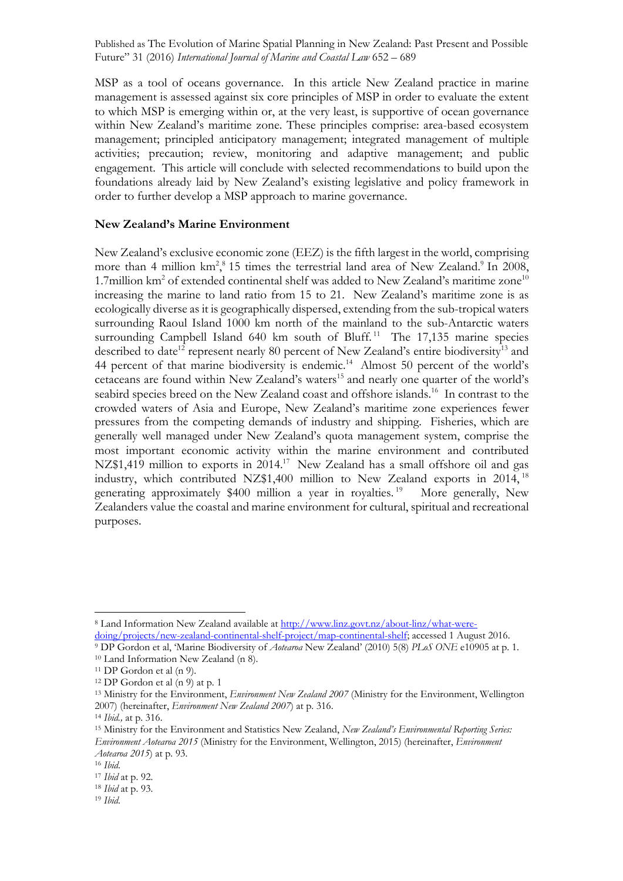MSP as a tool of oceans governance. In this article New Zealand practice in marine management is assessed against six core principles of MSP in order to evaluate the extent to which MSP is emerging within or, at the very least, is supportive of ocean governance within New Zealand's maritime zone. These principles comprise: area-based ecosystem management; principled anticipatory management; integrated management of multiple activities; precaution; review, monitoring and adaptive management; and public engagement. This article will conclude with selected recommendations to build upon the foundations already laid by New Zealand's existing legislative and policy framework in order to further develop a MSP approach to marine governance.

### **New Zealand's Marine Environment**

New Zealand's exclusive economic zone (EEZ) is the fifth largest in the world, comprising more than 4 million  $km^2$ ,  $\frac{8}{3}$  15 times the terrestrial land area of New Zealand.<sup>9</sup> In 2008, 1.7 million km<sup>2</sup> of extended continental shelf was added to New Zealand's maritime zone<sup>10</sup> increasing the marine to land ratio from 15 to 21. New Zealand's maritime zone is as ecologically diverse as it is geographically dispersed, extending from the sub-tropical waters surrounding Raoul Island 1000 km north of the mainland to the sub-Antarctic waters surrounding Campbell Island 640 km south of Bluff.<sup>11</sup> The 17,135 marine species described to date<sup>12</sup> represent nearly 80 percent of New Zealand's entire biodiversity<sup>13</sup> and 44 percent of that marine biodiversity is endemic.<sup>14</sup> Almost 50 percent of the world's cetaceans are found within New Zealand's waters<sup>15</sup> and nearly one quarter of the world's seabird species breed on the New Zealand coast and offshore islands.<sup>16</sup> In contrast to the crowded waters of Asia and Europe, New Zealand's maritime zone experiences fewer pressures from the competing demands of industry and shipping. Fisheries, which are generally well managed under New Zealand's quota management system, comprise the most important economic activity within the marine environment and contributed NZ\$1,419 million to exports in 2014.<sup>17</sup> New Zealand has a small offshore oil and gas industry, which contributed NZ\$1,400 million to New Zealand exports in 2014, <sup>18</sup> generating approximately \$400 million a year in royalties.<sup>19</sup> More generally, New Zealanders value the coastal and marine environment for cultural, spiritual and recreational purposes.

<sup>8</sup> Land Information New Zealand available at http://www.linz.govt.nz/about-linz/what-weredoing/projects/new-zealand-continental-shelf-project/map-continental-shelf; accessed 1 August 2016.

<sup>9</sup> DP Gordon et al, 'Marine Biodiversity of *Aotearoa* New Zealand' (2010) 5(8) *PLoS ONE* e10905 at p. 1. <sup>10</sup> Land Information New Zealand (n 8).

<sup>11</sup> DP Gordon et al (n 9).

<sup>12</sup> DP Gordon et al (n 9) at p. 1

<sup>13</sup> Ministry for the Environment, *Environment New Zealand 2007* (Ministry for the Environment, Wellington 2007) (hereinafter, *Environment New Zealand 2007*) at p. 316.

<sup>14</sup> *Ibid.,* at p. 316.

<sup>15</sup> Ministry for the Environment and Statistics New Zealand, *New Zealand's Environmental Reporting Series: Environment Aotearoa 2015* (Ministry for the Environment, Wellington, 2015) (hereinafter, *Environment Aotearoa 2015*) at p. 93.

<sup>16</sup> *Ibid*.

<sup>17</sup> *Ibid* at p. 92.

<sup>18</sup> *Ibid* at p. 93. 19 *Ibid*.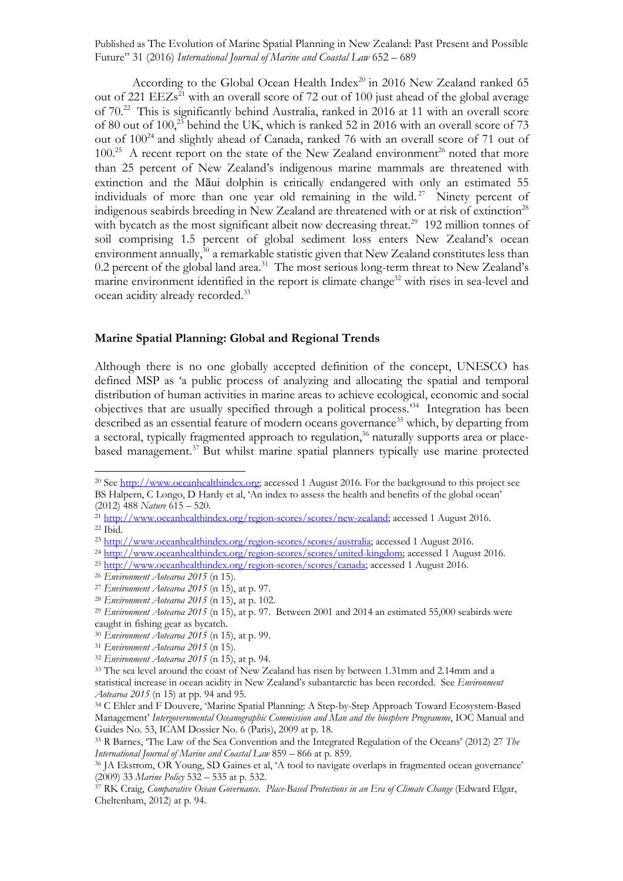According to the Global Ocean Health  $Index^{20}$  in 2016 New Zealand ranked 65 out of 221 EEZs<sup>21</sup> with an overall score of 72 out of 100 just ahead of the global average of 70.22 This is significantly behind Australia, ranked in 2016 at 11 with an overall score of 80 out of 100,23 behind the UK, which is ranked 52 in 2016 with an overall score of 73 out of 100<sup>24</sup> and slightly ahead of Canada, ranked 76 with an overall score of 71 out of  $100^{25}$  A recent report on the state of the New Zealand environment<sup>26</sup> noted that more than 25 percent of New Zealand's indigenous marine mammals are threatened with extinction and the Māui dolphin is critically endangered with only an estimated 55 individuals of more than one year old remaining in the wild. 27 Ninety percent of indigenous seabirds breeding in New Zealand are threatened with or at risk of extinction<sup>28</sup> with bycatch as the most significant albeit now decreasing threat.<sup>29</sup> 192 million tonnes of soil comprising 1.5 percent of global sediment loss enters New Zealand's ocean environment annually,<sup>30</sup> a remarkable statistic given that New Zealand constitutes less than 0.2 percent of the global land area.<sup>31</sup> The most serious long-term threat to New Zealand's marine environment identified in the report is climate change<sup>32</sup> with rises in sea-level and ocean acidity already recorded.33

### **Marine Spatial Planning: Global and Regional Trends**

Although there is no one globally accepted definition of the concept, UNESCO has defined MSP as 'a public process of analyzing and allocating the spatial and temporal distribution of human activities in marine areas to achieve ecological, economic and social objectives that are usually specified through a political process.' 34 Integration has been described as an essential feature of modern oceans governance<sup>35</sup> which, by departing from a sectoral, typically fragmented approach to regulation,<sup>36</sup> naturally supports area or placebased management.37 But whilst marine spatial planners typically use marine protected

<sup>&</sup>lt;sup>20</sup> See http://www.oceanhealthindex.org; accessed 1 August 2016. For the background to this project see BS Halpern, C Longo, D Hardy et al, 'An index to assess the health and benefits of the global ocean' (2012) 488 *Nature* 615 – 520.

<sup>&</sup>lt;sup>21</sup> http://www.oceanhealthindex.org/region-scores/scores/new-zealand; accessed 1 August 2016. <sup>22</sup> Ibid.

<sup>&</sup>lt;sup>23</sup> http://www.oceanhealthindex.org/region-scores/scores/australia; accessed 1 August 2016.

<sup>&</sup>lt;sup>24</sup> http://www.oceanhealthindex.org/region-scores/scores/united-kingdom; accessed 1 August 2016.

<sup>&</sup>lt;sup>25</sup> http://www.oceanhealthindex.org/region-scores/scores/canada; accessed 1 August 2016.

<sup>26</sup> *Environment Aotearoa 2015* (n 15).

<sup>27</sup> *Environment Aotearoa 2015* (n 15), at p. 97.

<sup>28</sup> *Environment Aotearoa 2015* (n 15), at p. 102.

<sup>29</sup> *Environment Aotearoa 2015* (n 15), at p. 97. Between 2001 and 2014 an estimated 55,000 seabirds were caught in fishing gear as bycatch.

<sup>30</sup> *Environment Aotearoa 2015* (n 15), at p. 99.

<sup>31</sup> *Environment Aotearoa 2015* (n 15).

<sup>32</sup> *Environment Aotearoa 2015* (n 15), at p. 94.

<sup>33</sup> The sea level around the coast of New Zealand has risen by between 1.31mm and 2.14mm and a statistical increase in ocean acidity in New Zealand's subantarctic has been recorded. See *Environment Aotearoa 2015* (n 15) at pp. 94 and 95.

<sup>34</sup> C Ehler and F Douvere, 'Marine Spatial Planning: A Step-by-Step Approach Toward Ecosystem-Based Management' *Intergovernmental Oceanographic Commission and Man and the biosphere Programme*, IOC Manual and Guides No. 53, ICAM Dossier No. 6 (Paris), 2009 at p. 18.

<sup>35</sup> R Barnes, 'The Law of the Sea Convention and the Integrated Regulation of the Oceans' (2012) 27 *The International Journal of Marine and Coastal Law* 859 – 866 at p. 859.

<sup>36</sup> JA Ekstrom, OR Young, SD Gaines et al, 'A tool to navigate overlaps in fragmented ocean governance' (2009) 33 *Marine Policy* 532 – 535 at p. 532.

<sup>37</sup> RK Craig, *Comparative Ocean Governance. Place-Based Protections in an Era of Climate Change* (Edward Elgar, Cheltenham, 2012) at p. 94.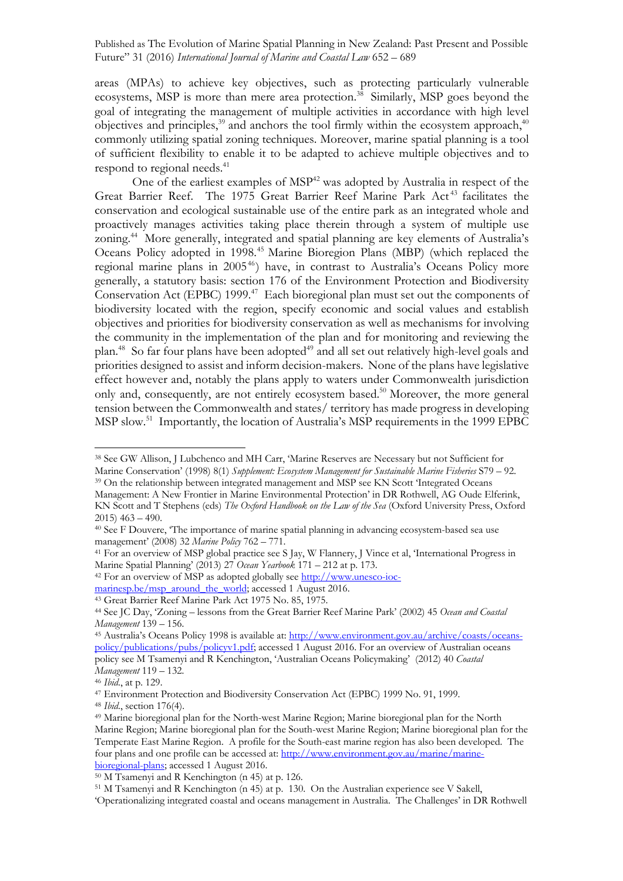areas (MPAs) to achieve key objectives, such as protecting particularly vulnerable ecosystems, MSP is more than mere area protection.<sup>38</sup> Similarly, MSP goes beyond the goal of integrating the management of multiple activities in accordance with high level objectives and principles,<sup>39</sup> and anchors the tool firmly within the ecosystem approach,<sup>40</sup> commonly utilizing spatial zoning techniques. Moreover, marine spatial planning is a tool of sufficient flexibility to enable it to be adapted to achieve multiple objectives and to respond to regional needs. 41

One of the earliest examples of MSP<sup>42</sup> was adopted by Australia in respect of the Great Barrier Reef. The 1975 Great Barrier Reef Marine Park Act<sup>43</sup> facilitates the conservation and ecological sustainable use of the entire park as an integrated whole and proactively manages activities taking place therein through a system of multiple use zoning.<sup>44</sup> More generally, integrated and spatial planning are key elements of Australia's Oceans Policy adopted in 1998.<sup>45</sup> Marine Bioregion Plans (MBP) (which replaced the regional marine plans in 2005<sup>46</sup>) have, in contrast to Australia's Oceans Policy more generally, a statutory basis: section 176 of the Environment Protection and Biodiversity Conservation Act (EPBC) 1999.<sup>47</sup> Each bioregional plan must set out the components of biodiversity located with the region, specify economic and social values and establish objectives and priorities for biodiversity conservation as well as mechanisms for involving the community in the implementation of the plan and for monitoring and reviewing the plan.<sup>48</sup> So far four plans have been adopted<sup>49</sup> and all set out relatively high-level goals and priorities designed to assist and inform decision-makers. None of the plans have legislative effect however and, notably the plans apply to waters under Commonwealth jurisdiction only and, consequently, are not entirely ecosystem based.<sup>50</sup> Moreover, the more general tension between the Commonwealth and states/ territory has made progress in developing MSP slow.51 Importantly, the location of Australia's MSP requirements in the 1999 EPBC

<sup>38</sup> See GW Allison, J Lubchenco and MH Carr, 'Marine Reserves are Necessary but not Sufficient for Marine Conservation' (1998) 8(1) *Supplement: Ecosystem Management for Sustainable Marine Fisheries* S79 – 92. <sup>39</sup> On the relationship between integrated management and MSP see KN Scott 'Integrated Oceans

Management: A New Frontier in Marine Environmental Protection' in DR Rothwell, AG Oude Elferink, KN Scott and T Stephens (eds) *The Oxford Handbook on the Law of the Sea* (Oxford University Press, Oxford  $2015$ )  $463 - 490$ .<br><sup>40</sup> See F Douvere, 'The importance of marine spatial planning in advancing ecosystem-based sea use

management' (2008) 32 *Marine Policy* 762 – 771.

<sup>41</sup> For an overview of MSP global practice see S Jay, W Flannery, J Vince et al, 'International Progress in Marine Spatial Planning' (2013) 27 *Ocean Yearbook* 171 – 212 at p. 173.

<sup>42</sup> For an overview of MSP as adopted globally see http://www.unesco-ioc-

marinesp.be/msp\_around\_the\_world; accessed 1 August 2016.

<sup>43</sup> Great Barrier Reef Marine Park Act 1975 No. 85, 1975.

<sup>44</sup> See JC Day, 'Zoning – lessons from the Great Barrier Reef Marine Park' (2002) 45 *Ocean and Coastal Management* 139 – 156.<br><sup>45</sup> Australia's Oceans Policy 1998 is available at: http://www.environment.gov.au/archive/coasts/oceans-

policy/publications/pubs/policyv1.pdf; accessed 1 August 2016. For an overview of Australian oceans policy see M Tsamenyi and R Kenchington, 'Australian Oceans Policymaking' (2012) 40 *Coastal Management* 119 – 132. 46 *Ibid*., at p. 129.

<sup>47</sup> Environment Protection and Biodiversity Conservation Act (EPBC) 1999 No. 91, 1999.

<sup>48</sup> *Ibid*., section 176(4).

<sup>49</sup> Marine bioregional plan for the North-west Marine Region; Marine bioregional plan for the North Marine Region; Marine bioregional plan for the South-west Marine Region; Marine bioregional plan for the Temperate East Marine Region. A profile for the South-east marine region has also been developed. The four plans and one profile can be accessed at: http://www.environment.gov.au/marine/marinebioregional-plans; accessed 1 August 2016.

<sup>50</sup> M Tsamenyi and R Kenchington (n 45) at p. 126.

<sup>51</sup> M Tsamenyi and R Kenchington (n 45) at p. 130. On the Australian experience see V Sakell, 'Operationalizing integrated coastal and oceans management in Australia. The Challenges' in DR Rothwell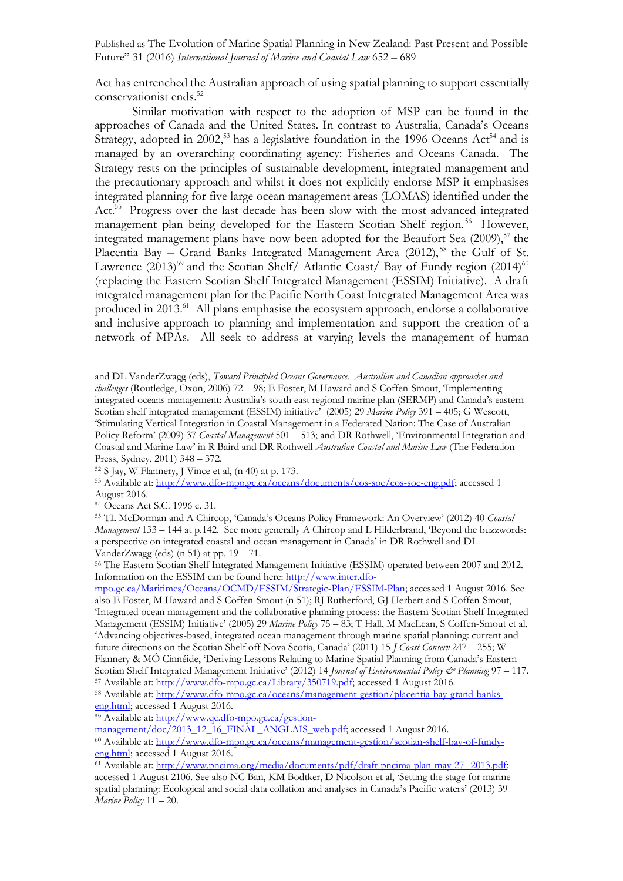Act has entrenched the Australian approach of using spatial planning to support essentially conservationist ends.<sup>52</sup>

Similar motivation with respect to the adoption of MSP can be found in the approaches of Canada and the United States. In contrast to Australia, Canada's Oceans Strategy, adopted in 2002,<sup>53</sup> has a legislative foundation in the 1996 Oceans Act<sup>54</sup> and is managed by an overarching coordinating agency: Fisheries and Oceans Canada. The Strategy rests on the principles of sustainable development, integrated management and the precautionary approach and whilst it does not explicitly endorse MSP it emphasises integrated planning for five large ocean management areas (LOMAS) identified under the Act. 55 Progress over the last decade has been slow with the most advanced integrated management plan being developed for the Eastern Scotian Shelf region.<sup>56</sup> However, integrated management plans have now been adopted for the Beaufort Sea (2009), <sup>57</sup> the Placentia Bay - Grand Banks Integrated Management Area (2012),<sup>58</sup> the Gulf of St. Lawrence  $(2013)^{59}$  and the Scotian Shelf/ Atlantic Coast/ Bay of Fundy region  $(2014)^{60}$ (replacing the Eastern Scotian Shelf Integrated Management (ESSIM) Initiative). A draft integrated management plan for the Pacific North Coast Integrated Management Area was produced in 2013.<sup>61</sup> All plans emphasise the ecosystem approach, endorse a collaborative and inclusive approach to planning and implementation and support the creation of a network of MPAs. All seek to address at varying levels the management of human

and DL VanderZwagg (eds), *Toward Principled Oceans Governance. Australian and Canadian approaches and challenges* (Routledge, Oxon, 2006) 72 – 98; E Foster, M Haward and S Coffen-Smout, 'Implementing integrated oceans management: Australia's south east regional marine plan (SERMP) and Canada's eastern Scotian shelf integrated management (ESSIM) initiative' (2005) 29 *Marine Policy* 391 – 405; G Wescott, 'Stimulating Vertical Integration in Coastal Management in a Federated Nation: The Case of Australian Policy Reform' (2009) 37 *Coastal Management* 501 – 513; and DR Rothwell, 'Environmental Integration and Coastal and Marine Law' in R Baird and DR Rothwell *Australian Coastal and Marine Law* (The Federation Press, Sydney, 2011) 348 – 372.

<sup>52</sup> S Jay, W Flannery, J Vince et al, (n 40) at p. 173. 53 Available at: http://www.dfo-mpo.gc.ca/oceans/documents/cos-soc/cos-soc-eng.pdf; accessed 1 August 2016.

<sup>54</sup> Oceans Act S.C. 1996 c. 31.

<sup>55</sup> TL McDorman and A Chircop, 'Canada's Oceans Policy Framework: An Overview' (2012) 40 *Coastal Management* 133 – 144 at p.142. See more generally A Chircop and L Hilderbrand, 'Beyond the buzzwords: a perspective on integrated coastal and ocean management in Canada' in DR Rothwell and DL

VanderZwagg (eds) (n 51) at pp. 19 – 71.<br><sup>56</sup> The Eastern Scotian Shelf Integrated Management Initiative (ESSIM) operated between 2007 and 2012. Information on the ESSIM can be found here: http://www.inter.dfo-

mpo.gc.ca/Maritimes/Oceans/OCMD/ESSIM/Strategic-Plan/ESSIM-Plan; accessed 1 August 2016. See also E Foster, M Haward and S Coffen-Smout (n 51); RJ Rutherford, GJ Herbert and S Coffen-Smout, 'Integrated ocean management and the collaborative planning process: the Eastern Scotian Shelf Integrated Management (ESSIM) Initiative' (2005) 29 *Marine Policy* 75 – 83; T Hall, M MacLean, S Coffen-Smout et al, 'Advancing objectives-based, integrated ocean management through marine spatial planning: current and future directions on the Scotian Shelf off Nova Scotia, Canada' (2011) 15 *J Coast Conserv* 247 – 255; W Flannery & MÓ Cinnéide, 'Deriving Lessons Relating to Marine Spatial Planning from Canada's Eastern Scotian Shelf Integrated Management Initiative' (2012) 14 *Journal of Environmental Policy & Planning* 97 – 117.

<sup>57</sup> Available at: http://www.dfo-mpo.gc.ca/Library/350719.pdf; accessed 1 August 2016.

<sup>58</sup> Available at: http://www.dfo-mpo.gc.ca/oceans/management-gestion/placentia-bay-grand-bankseng.html; accessed 1 August 2016.

<sup>59</sup> Available at: http://www.qc.dfo-mpo.gc.ca/gestion-

management/doc/2013\_12\_16\_FINAL\_ANGLAIS\_web.pdf; accessed 1 August 2016.

<sup>60</sup> Available at: http://www.dfo-mpo.gc.ca/oceans/management-gestion/scotian-shelf-bay-of-fundyeng.html; accessed 1 August 2016.

<sup>61</sup> Available at: http://www.pncima.org/media/documents/pdf/draft-pncima-plan-may-27--2013.pdf; accessed 1 August 2106. See also NC Ban, KM Bodtker, D Nicolson et al, 'Setting the stage for marine spatial planning: Ecological and social data collation and analyses in Canada's Pacific waters' (2013) 39 *Marine Policy* 11 – 20.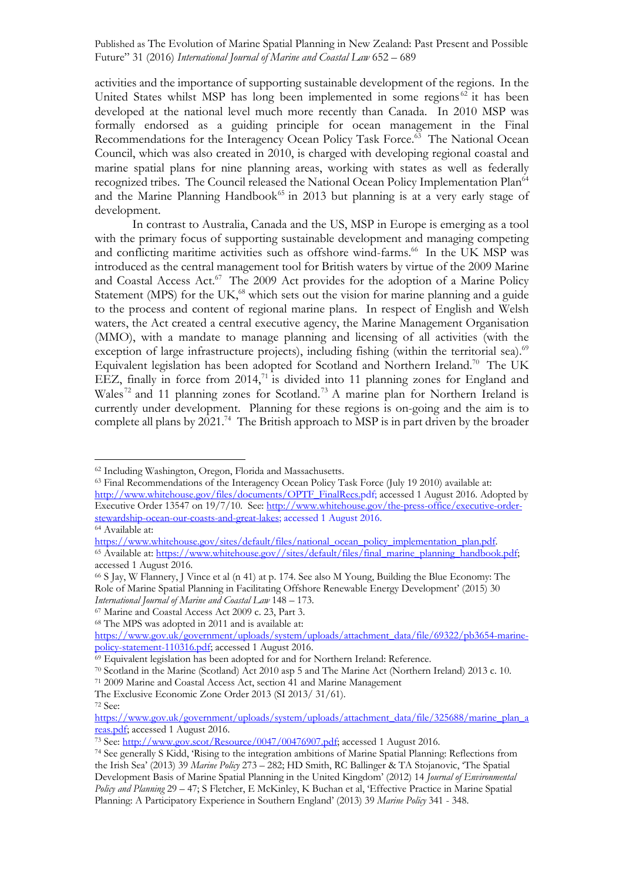activities and the importance of supporting sustainable development of the regions. In the United States whilst MSP has long been implemented in some regions<sup>62</sup> it has been developed at the national level much more recently than Canada. In 2010 MSP was formally endorsed as a guiding principle for ocean management in the Final Recommendations for the Interagency Ocean Policy Task Force.<sup>63</sup> The National Ocean Council, which was also created in 2010, is charged with developing regional coastal and marine spatial plans for nine planning areas, working with states as well as federally recognized tribes. The Council released the National Ocean Policy Implementation Plan<sup>64</sup> and the Marine Planning Handbook<sup> $65$ </sup> in 2013 but planning is at a very early stage of development.

In contrast to Australia, Canada and the US, MSP in Europe is emerging as a tool with the primary focus of supporting sustainable development and managing competing and conflicting maritime activities such as offshore wind-farms. 66 In the UK MSP was introduced as the central management tool for British waters by virtue of the 2009 Marine and Coastal Access Act.<sup>67</sup> The 2009 Act provides for the adoption of a Marine Policy Statement (MPS) for the UK $<sup>68</sup>$  which sets out the vision for marine planning and a guide</sup> to the process and content of regional marine plans. In respect of English and Welsh waters, the Act created a central executive agency, the Marine Management Organisation (MMO), with a mandate to manage planning and licensing of all activities (with the exception of large infrastructure projects), including fishing (within the territorial sea).<sup>69</sup> Equivalent legislation has been adopted for Scotland and Northern Ireland.70 The UK EEZ, finally in force from  $2014<sup>71</sup>$  is divided into 11 planning zones for England and Wales<sup>72</sup> and 11 planning zones for Scotland.<sup>73</sup> A marine plan for Northern Ireland is currently under development. Planning for these regions is on-going and the aim is to complete all plans by 2021.<sup>74</sup> The British approach to MSP is in part driven by the broader

<sup>63</sup> Final Recommendations of the Interagency Ocean Policy Task Force (July 19 2010) available at: http://www.whitehouse.gov/files/documents/OPTF\_FinalRecs.pdf; accessed 1 August 2016. Adopted by Executive Order 13547 on 19/7/10. See: http://www.whitehouse.gov/the-press-office/executive-orderstewardship-ocean-our-coasts-and-great-lakes; accessed 1 August 2016.

<sup>67</sup> Marine and Coastal Access Act 2009 c. 23, Part 3.

<sup>68</sup> The MPS was adopted in 2011 and is available at:

The Exclusive Economic Zone Order 2013 (SI 2013/ 31/61).

<sup>62</sup> Including Washington, Oregon, Florida and Massachusetts.

<sup>&</sup>lt;sup>64</sup> Available at:<br>https://www.whitehouse.gov/sites/default/files/national\_ocean\_policy\_implementation\_plan.pdf. <sup>65</sup> Available at: https://www.whitehouse.gov//sites/default/files/final\_marine\_planning\_handbook.pdf; accessed 1 August 2016.

<sup>66</sup> S Jay, W Flannery, J Vince et al (n 41) at p. 174. See also M Young, Building the Blue Economy: The Role of Marine Spatial Planning in Facilitating Offshore Renewable Energy Development' (2015) 30 *International Journal of Marine and Coastal Law* 148 – 173.

https://www.gov.uk/government/uploads/system/uploads/attachment\_data/file/69322/pb3654-marinepolicy-statement-110316.pdf; accessed 1 August 2016.

<sup>&</sup>lt;sup>69</sup> Equivalent legislation has been adopted for and for Northern Ireland: Reference.

<sup>70</sup> Scotland in the Marine (Scotland) Act 2010 asp 5 and The Marine Act (Northern Ireland) 2013 c. 10. 71 2009 Marine and Coastal Access Act, section 41 and Marine Management

<sup>72</sup> See:

https://www.gov.uk/government/uploads/system/uploads/attachment\_data/file/325688/marine\_plan\_a reas.pdf; accessed 1 August 2016.

<sup>&</sup>lt;sup>73</sup> See: http://www.gov.scot/Resource/0047/00476907.pdf; accessed 1 August 2016.

<sup>74</sup> See generally S Kidd, 'Rising to the integration ambitions of Marine Spatial Planning: Reflections from the Irish Sea' (2013) 39 *Marine Policy* 273 – 282; HD Smith, RC Ballinger & TA Stojanovic, 'The Spatial Development Basis of Marine Spatial Planning in the United Kingdom' (2012) 14 *Journal of Environmental Policy and Planning* 29 – 47; S Fletcher, E McKinley, K Buchan et al, 'Effective Practice in Marine Spatial Planning: A Participatory Experience in Southern England' (2013) 39 *Marine Policy* 341 - 348.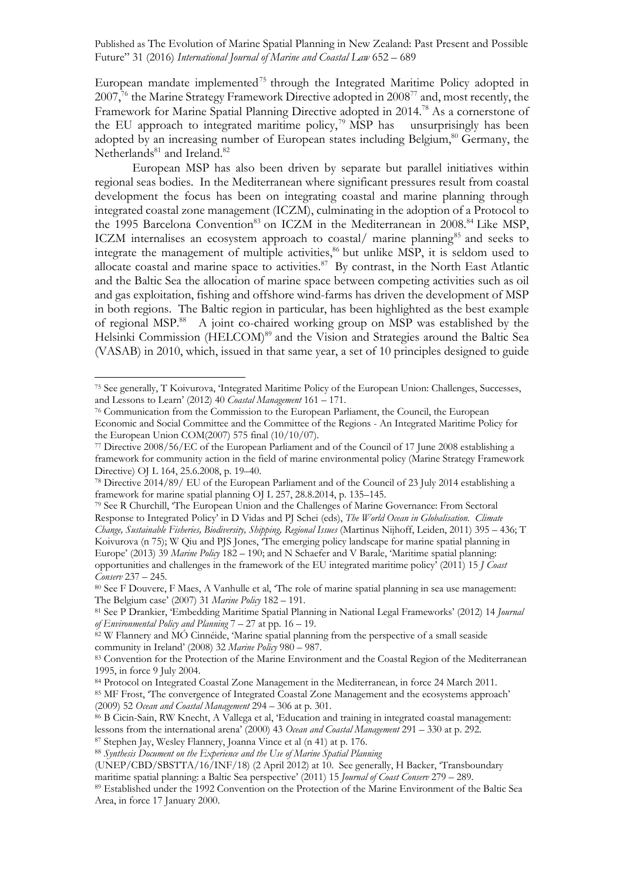European mandate implemented<sup>75</sup> through the Integrated Maritime Policy adopted in 2007,<sup>76</sup> the Marine Strategy Framework Directive adopted in 2008<sup>77</sup> and, most recently, the Framework for Marine Spatial Planning Directive adopted in 2014.78 As a cornerstone of the EU approach to integrated maritime policy, <sup>79</sup> MSP has unsurprisingly has been adopted by an increasing number of European states including Belgium,<sup>80</sup> Germany, the Netherlands<sup>81</sup> and Ireland.<sup>82</sup>

European MSP has also been driven by separate but parallel initiatives within regional seas bodies. In the Mediterranean where significant pressures result from coastal development the focus has been on integrating coastal and marine planning through integrated coastal zone management (ICZM), culminating in the adoption of a Protocol to the 1995 Barcelona Convention<sup>83</sup> on ICZM in the Mediterranean in 2008.<sup>84</sup> Like MSP, ICZM internalises an ecosystem approach to coastal/ marine planning<sup>85</sup> and seeks to integrate the management of multiple activities,<sup>86</sup> but unlike MSP, it is seldom used to allocate coastal and marine space to activities.<sup>87</sup> By contrast, in the North East Atlantic and the Baltic Sea the allocation of marine space between competing activities such as oil and gas exploitation, fishing and offshore wind-farms has driven the development of MSP in both regions. The Baltic region in particular, has been highlighted as the best example of regional MSP. 88 A joint co-chaired working group on MSP was established by the Helsinki Commission (HELCOM)<sup>89</sup> and the Vision and Strategies around the Baltic Sea (VASAB) in 2010, which, issued in that same year, a set of 10 principles designed to guide

<sup>75</sup> See generally, T Koivurova, 'Integrated Maritime Policy of the European Union: Challenges, Successes, and Lessons to Learn' (2012) 40 *Coastal Management* 161 – 171.

<sup>76</sup> Communication from the Commission to the European Parliament, the Council, the European Economic and Social Committee and the Committee of the Regions - An Integrated Maritime Policy for the European Union COM(2007) 575 final (10/10/07).

<sup>77</sup> Directive 2008/56/EC of the European Parliament and of the Council of 17 June 2008 establishing a framework for community action in the field of marine environmental policy (Marine Strategy Framework Directive) OJ L 164, 25.6.2008, p. 19–40.

<sup>78</sup> Directive 2014/89/ EU of the European Parliament and of the Council of 23 July 2014 establishing a framework for marine spatial planning OJ L 257, 28.8.2014, p. 135–145.

<sup>79</sup> See R Churchill, 'The European Union and the Challenges of Marine Governance: From Sectoral Response to Integrated Policy' in D Vidas and PJ Schei (eds), *The World Ocean in Globalisation. Climate Change, Sustainable Fisheries, Biodiversity, Shipping, Regional Issues* (Martinus Nijhoff, Leiden, 2011) 395 – 436; T Koivurova (n 75); W Qiu and PJS Jones, 'The emerging policy landscape for marine spatial planning in Europe' (2013) 39 *Marine Policy* 182 – 190; and N Schaefer and V Barale, 'Maritime spatial planning: opportunities and challenges in the framework of the EU integrated maritime policy' (2011) 15 *J Coast Conserv* 237 – 245.

<sup>&</sup>lt;sup>80</sup> See F Douvere, F Maes, A Vanhulle et al, 'The role of marine spatial planning in sea use management: The Belgium case' (2007) 31 Marine Policy 182 – 191.

<sup>&</sup>lt;sup>81</sup> See P Drankier, 'Embedding Maritime Spatial Planning in National Legal Frameworks' (2012) 14 *Journal of Environmental Policy and Planning* 7 – 27 at pp. 16 – 19.

<sup>82</sup> W Flannery and MÓ Cinnéide, 'Marine spatial planning from the perspective of a small seaside community in Ireland' (2008) 32 *Marine Policy* 980 – 987.

<sup>83</sup> Convention for the Protection of the Marine Environment and the Coastal Region of the Mediterranean 1995, in force 9 July 2004.

<sup>84</sup> Protocol on Integrated Coastal Zone Management in the Mediterranean, in force 24 March 2011. <sup>85</sup> MF Frost, 'The convergence of Integrated Coastal Zone Management and the ecosystems approach' (2009) 52 *Ocean and Coastal Management* 294 – 306 at p. 301.

<sup>86</sup> B Cicin-Sain, RW Knecht, A Vallega et al, 'Education and training in integrated coastal management: lessons from the international arena' (2000) 43 *Ocean and Coastal Management* 291 – 330 at p. 292. <sup>87</sup> Stephen Jay, Wesley Flannery, Joanna Vince et al (n 41) at p. 176.

<sup>88</sup> *Synthesis Document on the Experience and the Use of Marine Spatial Planning*

<sup>(</sup>UNEP/CBD/SBSTTA/16/INF/18) (2 April 2012) at 10. See generally, H Backer, 'Transboundary maritime spatial planning: a Baltic Sea perspective' (2011) 15 *Journal of Coast Conserv* 279 – 289.

<sup>89</sup> Established under the 1992 Convention on the Protection of the Marine Environment of the Baltic Sea Area, in force 17 January 2000.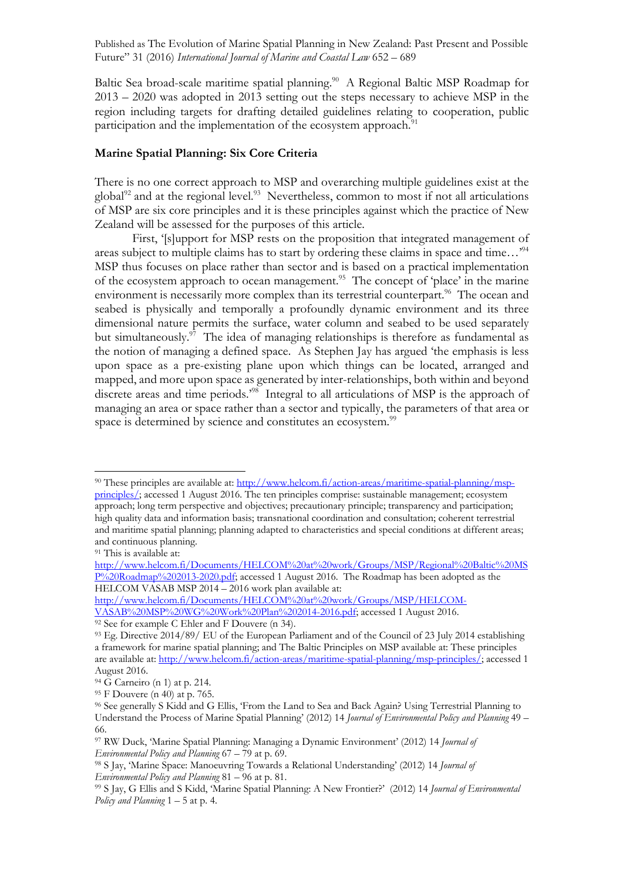Baltic Sea broad-scale maritime spatial planning.<sup>90</sup> A Regional Baltic MSP Roadmap for 2013 – 2020 was adopted in 2013 setting out the steps necessary to achieve MSP in the region including targets for drafting detailed guidelines relating to cooperation, public participation and the implementation of the ecosystem approach.<sup>91</sup>

### **Marine Spatial Planning: Six Core Criteria**

There is no one correct approach to MSP and overarching multiple guidelines exist at the global<sup>92</sup> and at the regional level.<sup>93</sup> Nevertheless, common to most if not all articulations of MSP are six core principles and it is these principles against which the practice of New Zealand will be assessed for the purposes of this article.

First, '[s]upport for MSP rests on the proposition that integrated management of areas subject to multiple claims has to start by ordering these claims in space and time...'<sup>94</sup> MSP thus focuses on place rather than sector and is based on a practical implementation of the ecosystem approach to ocean management.<sup>95</sup> The concept of 'place' in the marine environment is necessarily more complex than its terrestrial counterpart.<sup>96</sup> The ocean and seabed is physically and temporally a profoundly dynamic environment and its three dimensional nature permits the surface, water column and seabed to be used separately but simultaneously.<sup>97</sup> The idea of managing relationships is therefore as fundamental as the notion of managing a defined space. As Stephen Jay has argued 'the emphasis is less upon space as a pre-existing plane upon which things can be located, arranged and mapped, and more upon space as generated by inter-relationships, both within and beyond discrete areas and time periods.<sup>298</sup> Integral to all articulations of MSP is the approach of managing an area or space rather than a sector and typically, the parameters of that area or space is determined by science and constitutes an ecosystem.<sup>99</sup>

<sup>90</sup> These principles are available at: http://www.helcom.fi/action-areas/maritime-spatial-planning/mspprinciples/; accessed 1 August 2016. The ten principles comprise: sustainable management; ecosystem approach; long term perspective and objectives; precautionary principle; transparency and participation; high quality data and information basis; transnational coordination and consultation; coherent terrestrial and maritime spatial planning; planning adapted to characteristics and special conditions at different areas; and continuous planning.

<sup>91</sup> This is available at:

http://www.helcom.fi/Documents/HELCOM%20at%20work/Groups/MSP/Regional%20Baltic%20MS P%20Roadmap%202013-2020.pdf; accessed 1 August 2016. The Roadmap has been adopted as the HELCOM VASAB MSP 2014 – 2016 work plan available at:

http://www.helcom.fi/Documents/HELCOM%20at%20work/Groups/MSP/HELCOM-VASAB%20MSP%20WG%20Work%20Plan%202014-2016.pdf; accessed 1 August 2016.

<sup>92</sup> See for example C Ehler and F Douvere (n 34).

<sup>93</sup> Eg. Directive 2014/89/ EU of the European Parliament and of the Council of 23 July 2014 establishing a framework for marine spatial planning; and The Baltic Principles on MSP available at: These principles are available at: http://www.helcom.fi/action-areas/maritime-spatial-planning/msp-principles/; accessed 1 August 2016.

 $94\,$ G Carneiro (n 1) at p. 214.

<sup>95</sup> F Douvere (n 40) at p. 765.

<sup>96</sup> See generally S Kidd and G Ellis, 'From the Land to Sea and Back Again? Using Terrestrial Planning to Understand the Process of Marine Spatial Planning' (2012) 14 *Journal of Environmental Policy and Planning* 49 – 66.

<sup>97</sup> RW Duck, 'Marine Spatial Planning: Managing a Dynamic Environment' (2012) 14 *Journal of Environmental Policy and Planning* 67 – 79 at p. 69.

<sup>98</sup> S Jay, 'Marine Space: Manoeuvring Towards a Relational Understanding' (2012) 14 *Journal of Environmental Policy and Planning* 81 – 96 at p. 81.

<sup>99</sup> S Jay, G Ellis and S Kidd, 'Marine Spatial Planning: A New Frontier?' (2012) 14 *Journal of Environmental Policy and Planning* 1 – 5 at p. 4.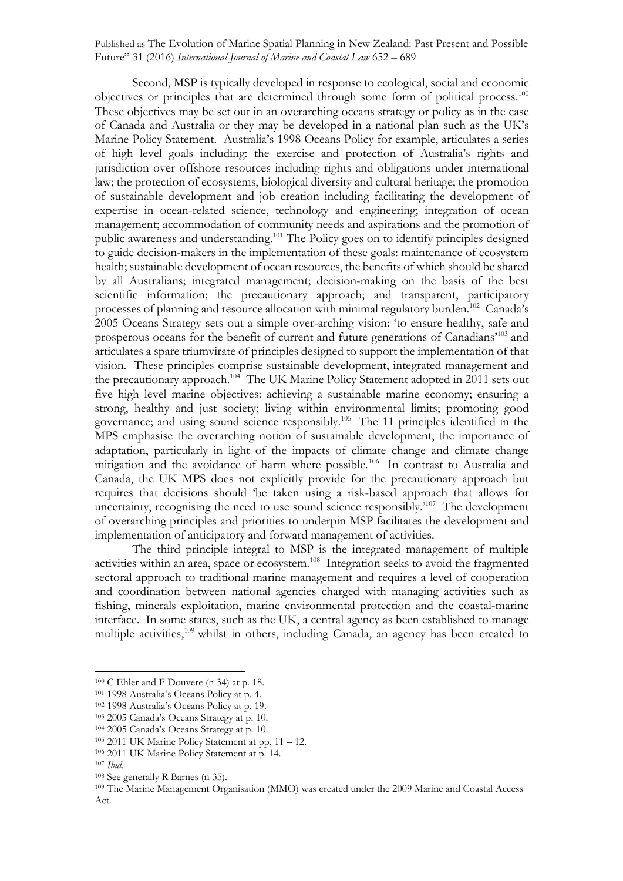Second, MSP is typically developed in response to ecological, social and economic objectives or principles that are determined through some form of political process.100 These objectives may be set out in an overarching oceans strategy or policy as in the case of Canada and Australia or they may be developed in a national plan such as the UK's Marine Policy Statement. Australia's 1998 Oceans Policy for example, articulates a series of high level goals including: the exercise and protection of Australia's rights and jurisdiction over offshore resources including rights and obligations under international law; the protection of ecosystems, biological diversity and cultural heritage; the promotion of sustainable development and job creation including facilitating the development of expertise in ocean-related science, technology and engineering; integration of ocean management; accommodation of community needs and aspirations and the promotion of public awareness and understanding.<sup>101</sup> The Policy goes on to identify principles designed to guide decision-makers in the implementation of these goals: maintenance of ecosystem health; sustainable development of ocean resources, the benefits of which should be shared by all Australians; integrated management; decision-making on the basis of the best scientific information; the precautionary approach; and transparent, participatory processes of planning and resource allocation with minimal regulatory burden.<sup>102</sup> Canada's 2005 Oceans Strategy sets out a simple over-arching vision: 'to ensure healthy, safe and prosperous oceans for the benefit of current and future generations of Canadians' <sup>103</sup> and articulates a spare triumvirate of principles designed to support the implementation of that vision. These principles comprise sustainable development, integrated management and the precautionary approach.<sup>104</sup> The UK Marine Policy Statement adopted in 2011 sets out five high level marine objectives: achieving a sustainable marine economy; ensuring a strong, healthy and just society; living within environmental limits; promoting good governance; and using sound science responsibly.105 The 11 principles identified in the MPS emphasise the overarching notion of sustainable development, the importance of adaptation, particularly in light of the impacts of climate change and climate change mitigation and the avoidance of harm where possible.<sup>106</sup> In contrast to Australia and Canada, the UK MPS does not explicitly provide for the precautionary approach but requires that decisions should 'be taken using a risk-based approach that allows for uncertainty, recognising the need to use sound science responsibly.<sup>2107</sup> The development of overarching principles and priorities to underpin MSP facilitates the development and implementation of anticipatory and forward management of activities.

The third principle integral to MSP is the integrated management of multiple activities within an area, space or ecosystem.<sup>108</sup> Integration seeks to avoid the fragmented sectoral approach to traditional marine management and requires a level of cooperation and coordination between national agencies charged with managing activities such as fishing, minerals exploitation, marine environmental protection and the coastal-marine interface. In some states, such as the UK, a central agency as been established to manage multiple activities,<sup>109</sup> whilst in others, including Canada, an agency has been created to

<sup>100</sup> C Ehler and F Douvere (n 34) at p. 18.

<sup>101</sup> 1998 Australia's Oceans Policy at p. 4.

<sup>102</sup> 1998 Australia's Oceans Policy at p. 19.

<sup>103</sup> 2005 Canada's Oceans Strategy at p. 10.

<sup>104</sup> 2005 Canada's Oceans Strategy at p. 10.

 $105$  2011 UK Marine Policy Statement at pp. 11 – 12.

<sup>106</sup> 2011 UK Marine Policy Statement at p. 14.

<sup>&</sup>lt;sup>107</sup> *Ibid.*<br><sup>108</sup> See generally R Barnes (n 35).

<sup>&</sup>lt;sup>109</sup> The Marine Management Organisation (MMO) was created under the 2009 Marine and Coastal Access Act.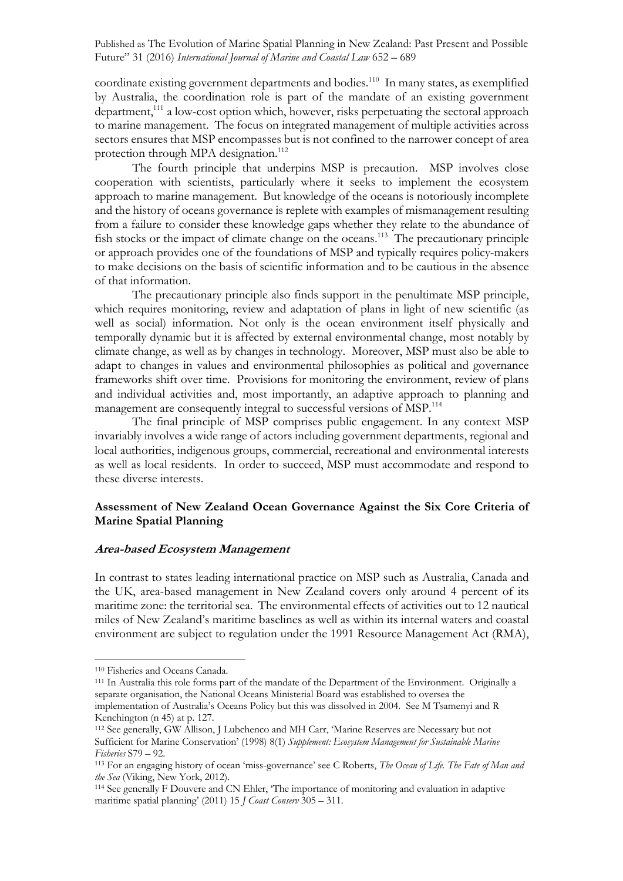coordinate existing government departments and bodies.<sup>110</sup> In many states, as exemplified by Australia, the coordination role is part of the mandate of an existing government department, $111$  a low-cost option which, however, risks perpetuating the sectoral approach to marine management. The focus on integrated management of multiple activities across sectors ensures that MSP encompasses but is not confined to the narrower concept of area protection through MPA designation.<sup>112</sup>

The fourth principle that underpins MSP is precaution. MSP involves close cooperation with scientists, particularly where it seeks to implement the ecosystem approach to marine management. But knowledge of the oceans is notoriously incomplete and the history of oceans governance is replete with examples of mismanagement resulting from a failure to consider these knowledge gaps whether they relate to the abundance of fish stocks or the impact of climate change on the oceans.<sup>113</sup> The precautionary principle or approach provides one of the foundations of MSP and typically requires policy-makers to make decisions on the basis of scientific information and to be cautious in the absence of that information.

The precautionary principle also finds support in the penultimate MSP principle, which requires monitoring, review and adaptation of plans in light of new scientific (as well as social) information. Not only is the ocean environment itself physically and temporally dynamic but it is affected by external environmental change, most notably by climate change, as well as by changes in technology. Moreover, MSP must also be able to adapt to changes in values and environmental philosophies as political and governance frameworks shift over time. Provisions for monitoring the environment, review of plans and individual activities and, most importantly, an adaptive approach to planning and management are consequently integral to successful versions of MSP.<sup>114</sup>

The final principle of MSP comprises public engagement. In any context MSP invariably involves a wide range of actors including government departments, regional and local authorities, indigenous groups, commercial, recreational and environmental interests as well as local residents. In order to succeed, MSP must accommodate and respond to these diverse interests.

### **Assessment of New Zealand Ocean Governance Against the Six Core Criteria of Marine Spatial Planning**

#### **Area-based Ecosystem Management**

In contrast to states leading international practice on MSP such as Australia, Canada and the UK, area-based management in New Zealand covers only around 4 percent of its maritime zone: the territorial sea. The environmental effects of activities out to 12 nautical miles of New Zealand's maritime baselines as well as within its internal waters and coastal environment are subject to regulation under the 1991 Resource Management Act (RMA),

<sup>110</sup> Fisheries and Oceans Canada.

<sup>111</sup> In Australia this role forms part of the mandate of the Department of the Environment. Originally a separate organisation, the National Oceans Ministerial Board was established to oversea the implementation of Australia's Oceans Policy but this was dissolved in 2004. See M Tsamenyi and R Kenchington (n 45) at p. 127.

<sup>112</sup> See generally, GW Allison, J Lubchenco and MH Carr, 'Marine Reserves are Necessary but not Sufficient for Marine Conservation' (1998) 8(1) *Supplement: Ecosystem Management for Sustainable Marine Fisheries* S79 – 92.<br><sup>113</sup> For an engaging history of ocean 'miss-governance' see C Roberts, *The Ocean of Life. The Fate of Man and* 

*the Sea* (Viking, New York, 2012).

<sup>114</sup> See generally F Douvere and CN Ehler, 'The importance of monitoring and evaluation in adaptive maritime spatial planning' (2011) 15 *J Coast Conserv* 305 – 311.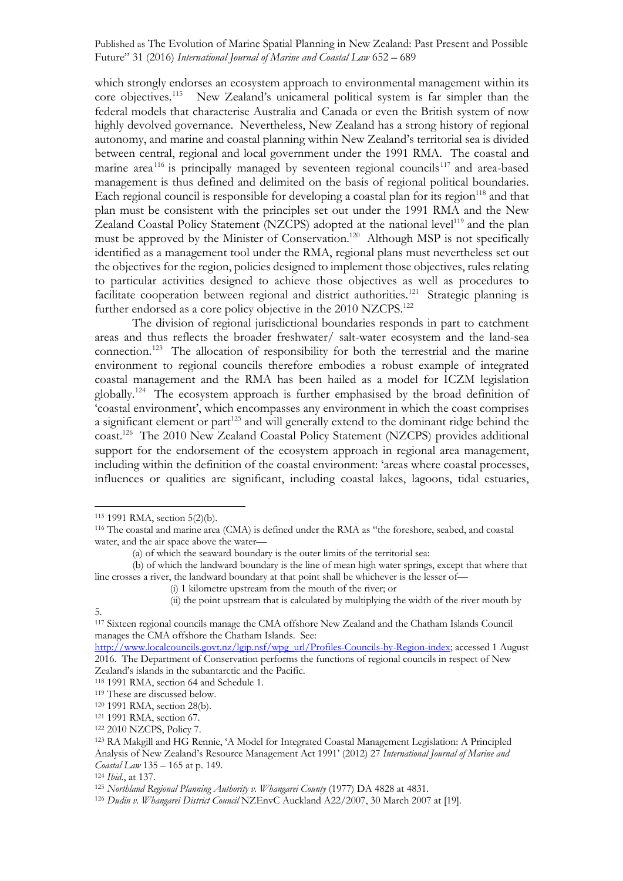which strongly endorses an ecosystem approach to environmental management within its core objectives.115 New Zealand's unicameral political system is far simpler than the federal models that characterise Australia and Canada or even the British system of now highly devolved governance. Nevertheless, New Zealand has a strong history of regional autonomy, and marine and coastal planning within New Zealand's territorial sea is divided between central, regional and local government under the 1991 RMA. The coastal and marine area<sup>116</sup> is principally managed by seventeen regional councils<sup>117</sup> and area-based management is thus defined and delimited on the basis of regional political boundaries. Each regional council is responsible for developing a coastal plan for its region $118$  and that plan must be consistent with the principles set out under the 1991 RMA and the New Zealand Coastal Policy Statement (NZCPS) adopted at the national level<sup>119</sup> and the plan must be approved by the Minister of Conservation.<sup>120</sup> Although MSP is not specifically identified as a management tool under the RMA, regional plans must nevertheless set out the objectives for the region, policies designed to implement those objectives, rules relating to particular activities designed to achieve those objectives as well as procedures to facilitate cooperation between regional and district authorities.<sup>121</sup> Strategic planning is further endorsed as a core policy objective in the 2010 NZCPS.<sup>122</sup>

The division of regional jurisdictional boundaries responds in part to catchment areas and thus reflects the broader freshwater/ salt-water ecosystem and the land-sea connection.123 The allocation of responsibility for both the terrestrial and the marine environment to regional councils therefore embodies a robust example of integrated coastal management and the RMA has been hailed as a model for ICZM legislation globally.124 The ecosystem approach is further emphasised by the broad definition of 'coastal environment', which encompasses any environment in which the coast comprises a significant element or part<sup>125</sup> and will generally extend to the dominant ridge behind the coast.126 The 2010 New Zealand Coastal Policy Statement (NZCPS) provides additional support for the endorsement of the ecosystem approach in regional area management, including within the definition of the coastal environment: 'areas where coastal processes, influences or qualities are significant, including coastal lakes, lagoons, tidal estuaries,

5.

<sup>115</sup> 1991 RMA, section 5(2)(b).

<sup>116</sup> The coastal and marine area (CMA) is defined under the RMA as "the foreshore, seabed, and coastal water, and the air space above the water—

<sup>(</sup>a) of which the seaward boundary is the outer limits of the territorial sea:

<sup>(</sup>b) of which the landward boundary is the line of mean high water springs, except that where that line crosses a river, the landward boundary at that point shall be whichever is the lesser of—

<sup>(</sup>i) 1 kilometre upstream from the mouth of the river; or

<sup>(</sup>ii) the point upstream that is calculated by multiplying the width of the river mouth by

<sup>117</sup> Sixteen regional councils manage the CMA offshore New Zealand and the Chatham Islands Council manages the CMA offshore the Chatham Islands. See:

http://www.localcouncils.govt.nz/lgip.nsf/wpg\_url/Profiles-Councils-by-Region-index; accessed 1 August 2016. The Department of Conservation performs the functions of regional councils in respect of New Zealand's islands in the subantarctic and the Pacific.

<sup>118</sup> 1991 RMA, section 64 and Schedule 1.

<sup>119</sup> These are discussed below.

<sup>120</sup> 1991 RMA, section 28(b).

<sup>121</sup> 1991 RMA, section 67.

<sup>122</sup> 2010 NZCPS, Policy 7.

<sup>123</sup> RA Makgill and HG Rennie, 'A Model for Integrated Coastal Management Legislation: A Principled Analysis of New Zealand's Resource Management Act 1991' (2012) 27 *International Journal of Marine and Coastal Law* 135 – 165 at p. 149.

<sup>124</sup> *Ibid*., at 137.

<sup>125</sup> *Northland Regional Planning Authority v. Whangarei County* (1977) DA 4828 at 4831.

<sup>126</sup> *Dudin v. Whangarei District Council* NZEnvC Auckland A22/2007, 30 March 2007 at [19].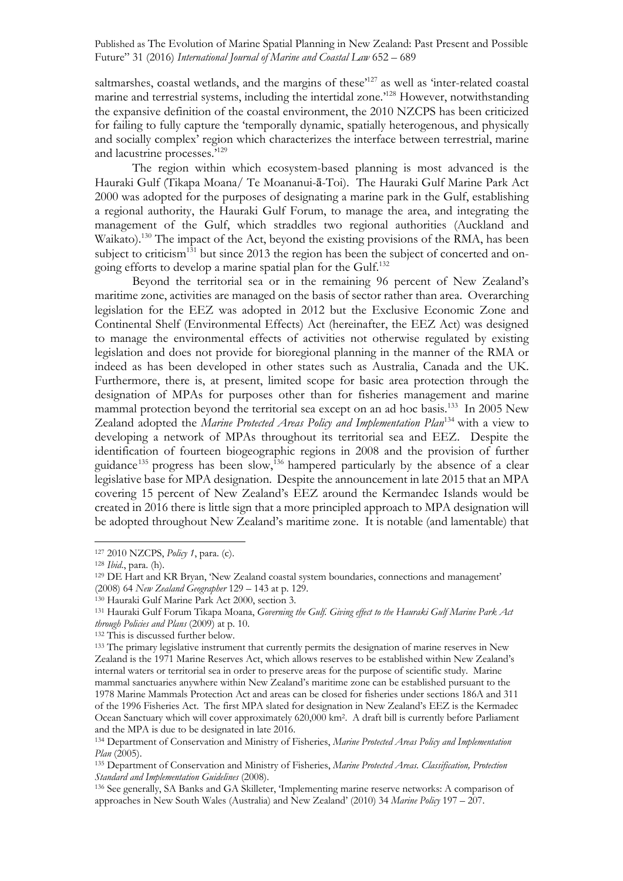saltmarshes, coastal wetlands, and the margins of these<sup>127</sup> as well as 'inter-related coastal marine and terrestrial systems, including the intertidal zone.<sup>128</sup> However, notwithstanding the expansive definition of the coastal environment, the 2010 NZCPS has been criticized for failing to fully capture the 'temporally dynamic, spatially heterogenous, and physically and socially complex' region which characterizes the interface between terrestrial, marine and lacustrine processes.'<sup>129</sup>

The region within which ecosystem-based planning is most advanced is the Hauraki Gulf (Tikapa Moana/ Te Moananui-ā-Toi). The Hauraki Gulf Marine Park Act 2000 was adopted for the purposes of designating a marine park in the Gulf, establishing a regional authority, the Hauraki Gulf Forum, to manage the area, and integrating the management of the Gulf, which straddles two regional authorities (Auckland and Waikato).<sup>130</sup> The impact of the Act, beyond the existing provisions of the RMA, has been subject to criticism<sup>131</sup> but since 2013 the region has been the subject of concerted and ongoing efforts to develop a marine spatial plan for the Gulf. 132

Beyond the territorial sea or in the remaining 96 percent of New Zealand's maritime zone, activities are managed on the basis of sector rather than area. Overarching legislation for the EEZ was adopted in 2012 but the Exclusive Economic Zone and Continental Shelf (Environmental Effects) Act (hereinafter, the EEZ Act) was designed to manage the environmental effects of activities not otherwise regulated by existing legislation and does not provide for bioregional planning in the manner of the RMA or indeed as has been developed in other states such as Australia, Canada and the UK. Furthermore, there is, at present, limited scope for basic area protection through the designation of MPAs for purposes other than for fisheries management and marine mammal protection beyond the territorial sea except on an ad hoc basis.<sup>133</sup> In 2005 New Zealand adopted the *Marine Protected Areas Policy and Implementation Plan*<sup>134</sup> with a view to developing a network of MPAs throughout its territorial sea and EEZ. Despite the identification of fourteen biogeographic regions in 2008 and the provision of further guidance<sup>135</sup> progress has been slow,<sup>136</sup> hampered particularly by the absence of a clear legislative base for MPA designation. Despite the announcement in late 2015 that an MPA covering 15 percent of New Zealand's EEZ around the Kermandec Islands would be created in 2016 there is little sign that a more principled approach to MPA designation will be adopted throughout New Zealand's maritime zone. It is notable (and lamentable) that

<sup>127</sup> 2010 NZCPS, *Policy 1*, para. (c).

<sup>128</sup> *Ibid*., para. (h).

<sup>129</sup> DE Hart and KR Bryan, 'New Zealand coastal system boundaries, connections and management'

<sup>(2008) 64</sup> *New Zealand Geographer* 129 – 143 at p. 129.

<sup>130</sup> Hauraki Gulf Marine Park Act 2000, section 3.

<sup>131</sup> Hauraki Gulf Forum Tikapa Moana, *Governing the Gulf. Giving effect to the Hauraki Gulf Marine Park Act through Policies and Plans* (2009) at p. 10. 132 This is discussed further below.

<sup>&</sup>lt;sup>133</sup> The primary legislative instrument that currently permits the designation of marine reserves in New Zealand is the 1971 Marine Reserves Act, which allows reserves to be established within New Zealand's internal waters or territorial sea in order to preserve areas for the purpose of scientific study. Marine mammal sanctuaries anywhere within New Zealand's maritime zone can be established pursuant to the 1978 Marine Mammals Protection Act and areas can be closed for fisheries under sections 186A and 311 of the 1996 Fisheries Act. The first MPA slated for designation in New Zealand's EEZ is the Kermadec Ocean Sanctuary which will cover approximately 620,000 km2. A draft bill is currently before Parliament and the MPA is due to be designated in late 2016.

<sup>134</sup> Department of Conservation and Ministry of Fisheries, *Marine Protected Areas Policy and Implementation Plan* (2005).

<sup>135</sup> Department of Conservation and Ministry of Fisheries, *Marine Protected Areas. Classification, Protection Standard and Implementation Guidelines* (2008).

<sup>136</sup> See generally, SA Banks and GA Skilleter, 'Implementing marine reserve networks: A comparison of approaches in New South Wales (Australia) and New Zealand' (2010) 34 *Marine Policy* 197 – 207.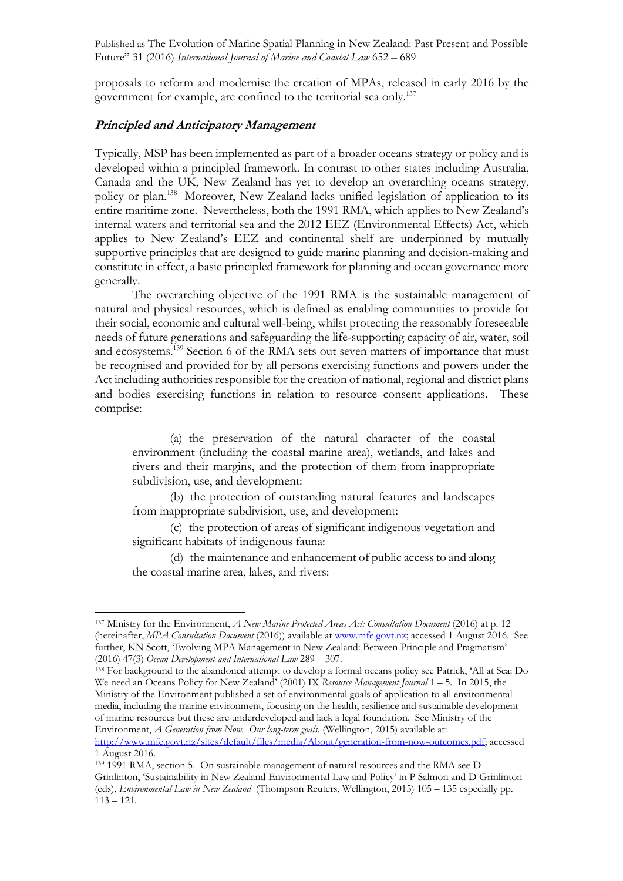proposals to reform and modernise the creation of MPAs, released in early 2016 by the government for example, are confined to the territorial sea only.137

### **Principled and Anticipatory Management**

Typically, MSP has been implemented as part of a broader oceans strategy or policy and is developed within a principled framework. In contrast to other states including Australia, Canada and the UK, New Zealand has yet to develop an overarching oceans strategy, policy or plan.138 Moreover, New Zealand lacks unified legislation of application to its entire maritime zone. Nevertheless, both the 1991 RMA, which applies to New Zealand's internal waters and territorial sea and the 2012 EEZ (Environmental Effects) Act, which applies to New Zealand's EEZ and continental shelf are underpinned by mutually supportive principles that are designed to guide marine planning and decision-making and constitute in effect, a basic principled framework for planning and ocean governance more generally.

The overarching objective of the 1991 RMA is the sustainable management of natural and physical resources, which is defined as enabling communities to provide for their social, economic and cultural well-being, whilst protecting the reasonably foreseeable needs of future generations and safeguarding the life-supporting capacity of air, water, soil and ecosystems.<sup>139</sup> Section 6 of the RMA sets out seven matters of importance that must be recognised and provided for by all persons exercising functions and powers under the Act including authorities responsible for the creation of national, regional and district plans and bodies exercising functions in relation to resource consent applications. These comprise:

(a) the preservation of the natural character of the coastal environment (including the coastal marine area), wetlands, and lakes and rivers and their margins, and the protection of them from inappropriate subdivision, use, and development:

(b) the protection of outstanding natural features and landscapes from inappropriate subdivision, use, and development:

(c) the protection of areas of significant indigenous vegetation and significant habitats of indigenous fauna:

(d) the maintenance and enhancement of public access to and along the coastal marine area, lakes, and rivers:

<sup>137</sup> Ministry for the Environment, *A New Marine Protected Areas Act: Consultation Document* (2016) at p. 12 (hereinafter, *MPA Consultation Document* (2016)) available at www.mfe.govt.nz; accessed 1 August 2016. See further, KN Scott, 'Evolving MPA Management in New Zealand: Between Principle and Pragmatism' (2016) 47(3) *Ocean Development and International Law* 289 – 307.

<sup>138</sup> For background to the abandoned attempt to develop a formal oceans policy see Patrick, 'All at Sea: Do We need an Oceans Policy for New Zealand' (2001) IX *Resource Management Journal* 1 – 5. In 2015, the Ministry of the Environment published a set of environmental goals of application to all environmental media, including the marine environment, focusing on the health, resilience and sustainable development of marine resources but these are underdeveloped and lack a legal foundation. See Ministry of the Environment, *A Generation from Now. Our long-term goals.* (Wellington, 2015) available at: http://www.mfe.govt.nz/sites/default/files/media/About/generation-from-now-outcomes.pdf; accessed

<sup>1</sup> August 2016.

<sup>139</sup> 1991 RMA, section 5. On sustainable management of natural resources and the RMA see D Grinlinton, 'Sustainability in New Zealand Environmental Law and Policy' in P Salmon and D Grinlinton (eds), *Environmental Law in New Zealand* (Thompson Reuters, Wellington, 2015) 105 – 135 especially pp.  $113 - 121.$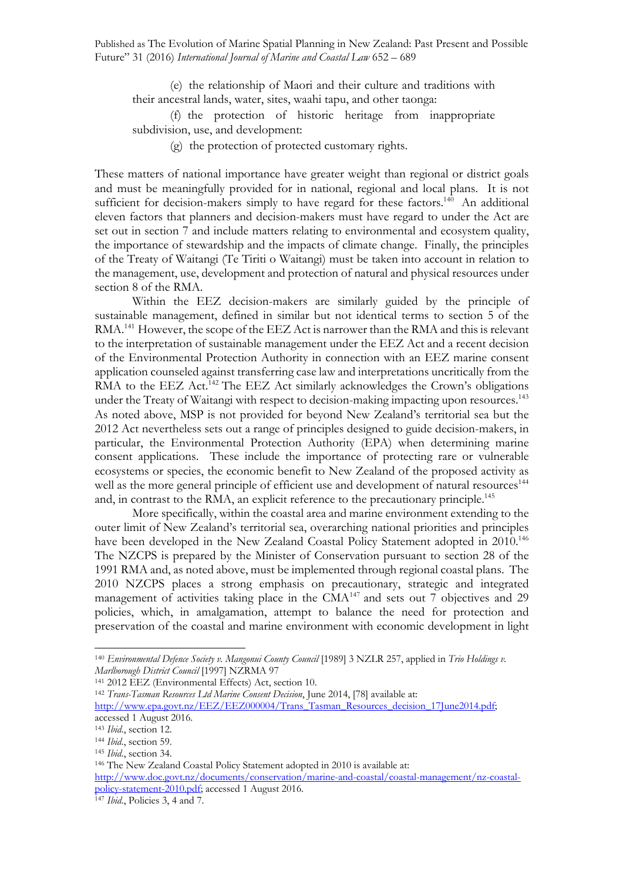(e) the relationship of Maori and their culture and traditions with their ancestral lands, water, sites, waahi tapu, and other taonga:

(f) the protection of historic heritage from inappropriate subdivision, use, and development:

(g) the protection of protected customary rights.

These matters of national importance have greater weight than regional or district goals and must be meaningfully provided for in national, regional and local plans. It is not sufficient for decision-makers simply to have regard for these factors.<sup>140</sup> An additional eleven factors that planners and decision-makers must have regard to under the Act are set out in section 7 and include matters relating to environmental and ecosystem quality, the importance of stewardship and the impacts of climate change. Finally, the principles of the Treaty of Waitangi (Te Tiriti o Waitangi) must be taken into account in relation to the management, use, development and protection of natural and physical resources under section 8 of the RMA.

Within the EEZ decision-makers are similarly guided by the principle of sustainable management, defined in similar but not identical terms to section 5 of the RMA.<sup>141</sup> However, the scope of the EEZ Act is narrower than the RMA and this is relevant to the interpretation of sustainable management under the EEZ Act and a recent decision of the Environmental Protection Authority in connection with an EEZ marine consent application counseled against transferring case law and interpretations uncritically from the RMA to the EEZ Act.<sup>142</sup> The EEZ Act similarly acknowledges the Crown's obligations under the Treaty of Waitangi with respect to decision-making impacting upon resources. 143 As noted above, MSP is not provided for beyond New Zealand's territorial sea but the 2012 Act nevertheless sets out a range of principles designed to guide decision-makers, in particular, the Environmental Protection Authority (EPA) when determining marine consent applications. These include the importance of protecting rare or vulnerable ecosystems or species, the economic benefit to New Zealand of the proposed activity as well as the more general principle of efficient use and development of natural resources<sup>144</sup> and, in contrast to the RMA, an explicit reference to the precautionary principle. 145

More specifically, within the coastal area and marine environment extending to the outer limit of New Zealand's territorial sea, overarching national priorities and principles have been developed in the New Zealand Coastal Policy Statement adopted in 2010.<sup>146</sup> The NZCPS is prepared by the Minister of Conservation pursuant to section 28 of the 1991 RMA and, as noted above, must be implemented through regional coastal plans. The 2010 NZCPS places a strong emphasis on precautionary, strategic and integrated management of activities taking place in the  $CMA<sup>147</sup>$  and sets out 7 objectives and 29 policies, which, in amalgamation, attempt to balance the need for protection and preservation of the coastal and marine environment with economic development in light

<sup>140</sup> *Environmental Defence Society v. Mangonui County Council* [1989] 3 NZLR 257, applied in *Trio Holdings v. Marlborough District Council* [1997] NZRMA 97

<sup>&</sup>lt;sup>142</sup> Trans-Tasman Resources Ltd Marine Consent Decision, June 2014, [78] available at:

http://www.epa.govt.nz/EEZ/EEZ000004/Trans\_Tasman\_Resources\_decision\_17June2014.pdf; accessed 1 August 2016.

<sup>143</sup> *Ibid*., section 12.

<sup>144</sup> *Ibid*., section 59.

<sup>145</sup> *Ibid*., section 34.

<sup>146</sup> The New Zealand Coastal Policy Statement adopted in 2010 is available at:

http://www.doc.govt.nz/documents/conservation/marine-and-coastal/coastal-management/nz-coastalpolicy-statement-2010.pdf; accessed 1 August 2016.

<sup>147</sup> *Ibid*., Policies 3, 4 and 7.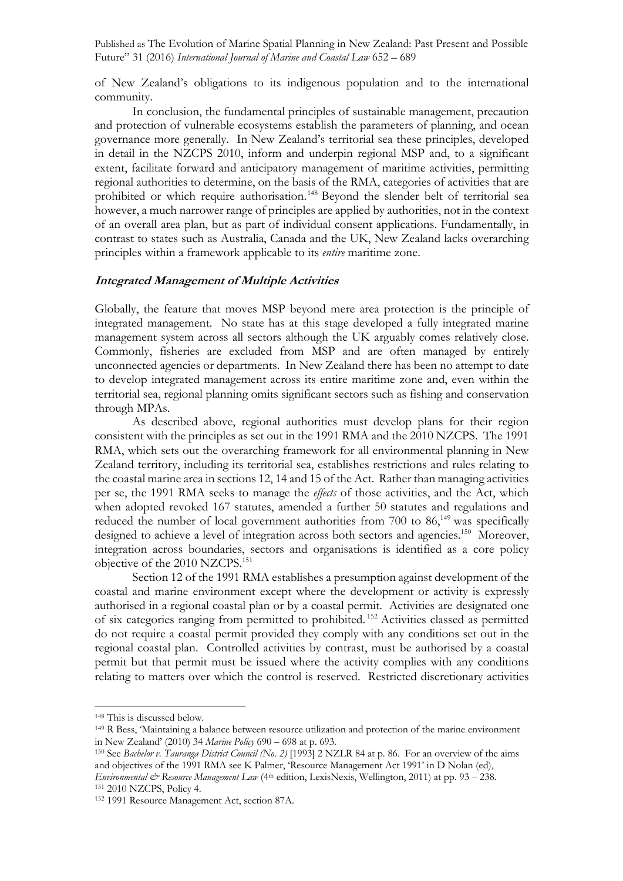of New Zealand's obligations to its indigenous population and to the international community.

In conclusion, the fundamental principles of sustainable management, precaution and protection of vulnerable ecosystems establish the parameters of planning, and ocean governance more generally. In New Zealand's territorial sea these principles, developed in detail in the NZCPS 2010, inform and underpin regional MSP and, to a significant extent, facilitate forward and anticipatory management of maritime activities, permitting regional authorities to determine, on the basis of the RMA, categories of activities that are prohibited or which require authorisation.<sup>148</sup> Beyond the slender belt of territorial sea however, a much narrower range of principles are applied by authorities, not in the context of an overall area plan, but as part of individual consent applications. Fundamentally, in contrast to states such as Australia, Canada and the UK, New Zealand lacks overarching principles within a framework applicable to its *entire* maritime zone.

#### **Integrated Management of Multiple Activities**

Globally, the feature that moves MSP beyond mere area protection is the principle of integrated management. No state has at this stage developed a fully integrated marine management system across all sectors although the UK arguably comes relatively close. Commonly, fisheries are excluded from MSP and are often managed by entirely unconnected agencies or departments. In New Zealand there has been no attempt to date to develop integrated management across its entire maritime zone and, even within the territorial sea, regional planning omits significant sectors such as fishing and conservation through MPAs.

As described above, regional authorities must develop plans for their region consistent with the principles as set out in the 1991 RMA and the 2010 NZCPS. The 1991 RMA, which sets out the overarching framework for all environmental planning in New Zealand territory, including its territorial sea, establishes restrictions and rules relating to the coastal marine area in sections 12, 14 and 15 of the Act. Rather than managing activities per se, the 1991 RMA seeks to manage the *effects* of those activities, and the Act, which when adopted revoked 167 statutes, amended a further 50 statutes and regulations and reduced the number of local government authorities from  $700$  to  $86,^{149}$  was specifically designed to achieve a level of integration across both sectors and agencies.<sup>150</sup> Moreover, integration across boundaries, sectors and organisations is identified as a core policy objective of the 2010 NZCPS.151

Section 12 of the 1991 RMA establishes a presumption against development of the coastal and marine environment except where the development or activity is expressly authorised in a regional coastal plan or by a coastal permit. Activities are designated one of six categories ranging from permitted to prohibited. <sup>152</sup> Activities classed as permitted do not require a coastal permit provided they comply with any conditions set out in the regional coastal plan. Controlled activities by contrast, must be authorised by a coastal permit but that permit must be issued where the activity complies with any conditions relating to matters over which the control is reserved. Restricted discretionary activities

<sup>148</sup> This is discussed below.

<sup>149</sup> R Bess, 'Maintaining a balance between resource utilization and protection of the marine environment in New Zealand' (2010) 34 *Marine Policy* 690 – 698 at p. 693.

<sup>&</sup>lt;sup>150</sup> See *Bachelor v. Tauranga District Council (No. 2)* [1993] 2 NZLR 84 at p. 86. For an overview of the aims and objectives of the 1991 RMA see K Palmer, 'Resource Management Act 1991' in D Nolan (ed), *Environmental & Resource Management Law* (4<sup>th</sup> edition, LexisNexis, Wellington, 2011) at pp. 93 – 238.

<sup>151</sup> 2010 NZCPS, Policy 4.

<sup>152</sup> 1991 Resource Management Act, section 87A.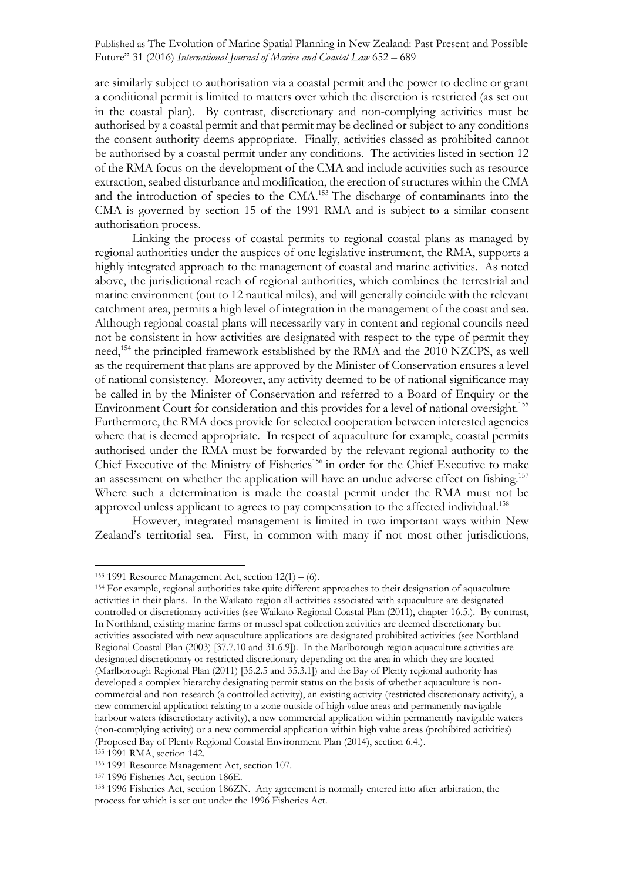are similarly subject to authorisation via a coastal permit and the power to decline or grant a conditional permit is limited to matters over which the discretion is restricted (as set out in the coastal plan). By contrast, discretionary and non-complying activities must be authorised by a coastal permit and that permit may be declined or subject to any conditions the consent authority deems appropriate. Finally, activities classed as prohibited cannot be authorised by a coastal permit under any conditions. The activities listed in section 12 of the RMA focus on the development of the CMA and include activities such as resource extraction, seabed disturbance and modification, the erection of structures within the CMA and the introduction of species to the CMA.153 The discharge of contaminants into the CMA is governed by section 15 of the 1991 RMA and is subject to a similar consent authorisation process.

Linking the process of coastal permits to regional coastal plans as managed by regional authorities under the auspices of one legislative instrument, the RMA, supports a highly integrated approach to the management of coastal and marine activities. As noted above, the jurisdictional reach of regional authorities, which combines the terrestrial and marine environment (out to 12 nautical miles), and will generally coincide with the relevant catchment area, permits a high level of integration in the management of the coast and sea. Although regional coastal plans will necessarily vary in content and regional councils need not be consistent in how activities are designated with respect to the type of permit they need,<sup>154</sup> the principled framework established by the RMA and the 2010 NZCPS, as well as the requirement that plans are approved by the Minister of Conservation ensures a level of national consistency. Moreover, any activity deemed to be of national significance may be called in by the Minister of Conservation and referred to a Board of Enquiry or the Environment Court for consideration and this provides for a level of national oversight. 155 Furthermore, the RMA does provide for selected cooperation between interested agencies where that is deemed appropriate. In respect of aquaculture for example, coastal permits authorised under the RMA must be forwarded by the relevant regional authority to the Chief Executive of the Ministry of Fisheries<sup>156</sup> in order for the Chief Executive to make an assessment on whether the application will have an undue adverse effect on fishing.<sup>157</sup> Where such a determination is made the coastal permit under the RMA must not be approved unless applicant to agrees to pay compensation to the affected individual. 158

However, integrated management is limited in two important ways within New Zealand's territorial sea. First, in common with many if not most other jurisdictions,

<sup>&</sup>lt;sup>153</sup> 1991 Resource Management Act, section  $12(1) - (6)$ .

<sup>154</sup> For example, regional authorities take quite different approaches to their designation of aquaculture activities in their plans. In the Waikato region all activities associated with aquaculture are designated controlled or discretionary activities (see Waikato Regional Coastal Plan (2011), chapter 16.5.). By contrast, In Northland, existing marine farms or mussel spat collection activities are deemed discretionary but activities associated with new aquaculture applications are designated prohibited activities (see Northland Regional Coastal Plan (2003) [37.7.10 and 31.6.9]). In the Marlborough region aquaculture activities are designated discretionary or restricted discretionary depending on the area in which they are located (Marlborough Regional Plan (2011) [35.2.5 and 35.3.1]) and the Bay of Plenty regional authority has developed a complex hierarchy designating permit status on the basis of whether aquaculture is noncommercial and non-research (a controlled activity), an existing activity (restricted discretionary activity), a new commercial application relating to a zone outside of high value areas and permanently navigable harbour waters (discretionary activity), a new commercial application within permanently navigable waters (non-complying activity) or a new commercial application within high value areas (prohibited activities) (Proposed Bay of Plenty Regional Coastal Environment Plan (2014), section 6.4.).

<sup>155</sup> 1991 RMA, section 142.

<sup>156</sup> 1991 Resource Management Act, section 107.

<sup>157</sup> 1996 Fisheries Act, section 186E.

<sup>158</sup> 1996 Fisheries Act, section 186ZN. Any agreement is normally entered into after arbitration, the process for which is set out under the 1996 Fisheries Act.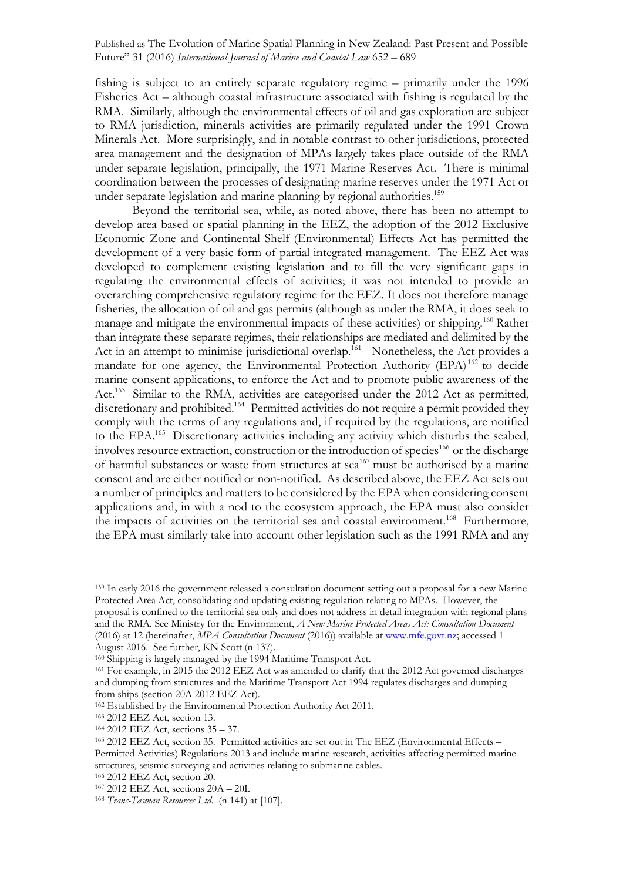fishing is subject to an entirely separate regulatory regime – primarily under the 1996 Fisheries Act – although coastal infrastructure associated with fishing is regulated by the RMA. Similarly, although the environmental effects of oil and gas exploration are subject to RMA jurisdiction, minerals activities are primarily regulated under the 1991 Crown Minerals Act. More surprisingly, and in notable contrast to other jurisdictions, protected area management and the designation of MPAs largely takes place outside of the RMA under separate legislation, principally, the 1971 Marine Reserves Act. There is minimal coordination between the processes of designating marine reserves under the 1971 Act or under separate legislation and marine planning by regional authorities.<sup>159</sup>

Beyond the territorial sea, while, as noted above, there has been no attempt to develop area based or spatial planning in the EEZ, the adoption of the 2012 Exclusive Economic Zone and Continental Shelf (Environmental) Effects Act has permitted the development of a very basic form of partial integrated management. The EEZ Act was developed to complement existing legislation and to fill the very significant gaps in regulating the environmental effects of activities; it was not intended to provide an overarching comprehensive regulatory regime for the EEZ. It does not therefore manage fisheries, the allocation of oil and gas permits (although as under the RMA, it does seek to manage and mitigate the environmental impacts of these activities) or shipping.<sup>160</sup> Rather than integrate these separate regimes, their relationships are mediated and delimited by the Act in an attempt to minimise jurisdictional overlap.<sup>161</sup> Nonetheless, the Act provides a mandate for one agency, the Environmental Protection Authority (EPA)<sup>162</sup> to decide marine consent applications, to enforce the Act and to promote public awareness of the Act.<sup>163</sup> Similar to the RMA, activities are categorised under the 2012 Act as permitted, discretionary and prohibited.<sup>164</sup> Permitted activities do not require a permit provided they comply with the terms of any regulations and, if required by the regulations, are notified to the EPA.<sup>165</sup> Discretionary activities including any activity which disturbs the seabed, involves resource extraction, construction or the introduction of species<sup>166</sup> or the discharge of harmful substances or waste from structures at  $sea^{167}$  must be authorised by a marine consent and are either notified or non-notified. As described above, the EEZ Act sets out a number of principles and matters to be considered by the EPA when considering consent applications and, in with a nod to the ecosystem approach, the EPA must also consider the impacts of activities on the territorial sea and coastal environment. 168 Furthermore, the EPA must similarly take into account other legislation such as the 1991 RMA and any

<sup>159</sup> In early 2016 the government released a consultation document setting out a proposal for a new Marine Protected Area Act, consolidating and updating existing regulation relating to MPAs. However, the proposal is confined to the territorial sea only and does not address in detail integration with regional plans and the RMA. See Ministry for the Environment, *A New Marine Protected Areas Act: Consultation Document*  (2016) at 12 (hereinafter, *MPA Consultation Document* (2016)) available at www.mfe.govt.nz; accessed 1 August 2016. See further, KN Scott (n 137).

<sup>160</sup> Shipping is largely managed by the 1994 Maritime Transport Act.

<sup>161</sup> For example, in 2015 the 2012 EEZ Act was amended to clarify that the 2012 Act governed discharges and dumping from structures and the Maritime Transport Act 1994 regulates discharges and dumping from ships (section 20A 2012 EEZ Act).

<sup>162</sup> Established by the Environmental Protection Authority Act 2011.

<sup>163</sup> 2012 EEZ Act, section 13.

<sup>164</sup> 2012 EEZ Act, sections 35 – 37.

<sup>165</sup> 2012 EEZ Act, section 35. Permitted activities are set out in The EEZ (Environmental Effects – Permitted Activities) Regulations 2013 and include marine research, activities affecting permitted marine structures, seismic surveying and activities relating to submarine cables.

<sup>166</sup> 2012 EEZ Act, section 20.

<sup>167</sup> 2012 EEZ Act, sections 20A – 20I.

<sup>168</sup> *Trans-Tasman Resources Ltd*. (n 141) at [107].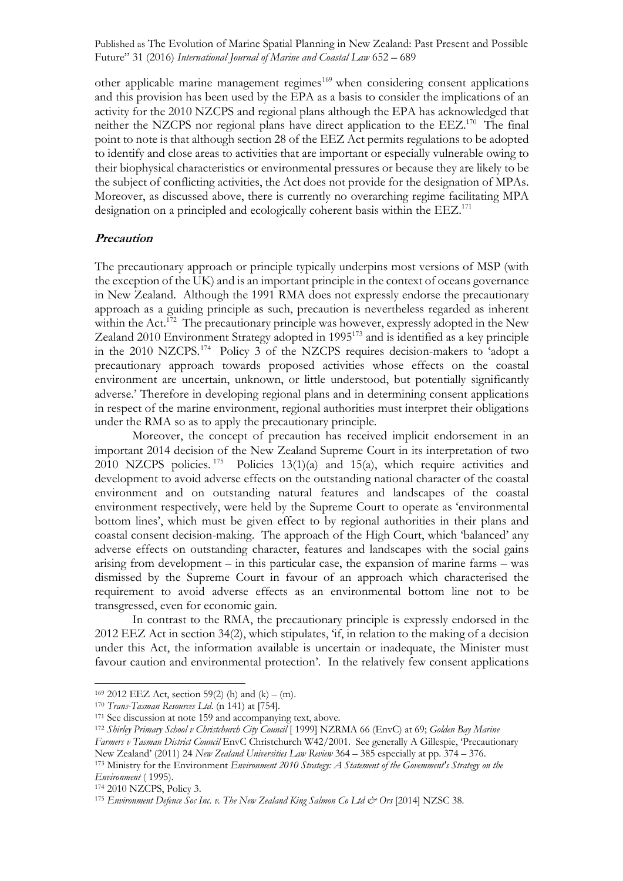other applicable marine management regimes<sup>169</sup> when considering consent applications and this provision has been used by the EPA as a basis to consider the implications of an activity for the 2010 NZCPS and regional plans although the EPA has acknowledged that neither the NZCPS nor regional plans have direct application to the EEZ.<sup>170</sup> The final point to note is that although section 28 of the EEZ Act permits regulations to be adopted to identify and close areas to activities that are important or especially vulnerable owing to their biophysical characteristics or environmental pressures or because they are likely to be the subject of conflicting activities, the Act does not provide for the designation of MPAs. Moreover, as discussed above, there is currently no overarching regime facilitating MPA designation on a principled and ecologically coherent basis within the EEZ.<sup>171</sup>

### **Precaution**

The precautionary approach or principle typically underpins most versions of MSP (with the exception of the UK) and is an important principle in the context of oceans governance in New Zealand. Although the 1991 RMA does not expressly endorse the precautionary approach as a guiding principle as such, precaution is nevertheless regarded as inherent within the Act.<sup>172</sup> The precautionary principle was however, expressly adopted in the New Zealand 2010 Environment Strategy adopted in 1995<sup>173</sup> and is identified as a key principle in the 2010 NZCPS.174 Policy 3 of the NZCPS requires decision-makers to 'adopt a precautionary approach towards proposed activities whose effects on the coastal environment are uncertain, unknown, or little understood, but potentially significantly adverse.' Therefore in developing regional plans and in determining consent applications in respect of the marine environment, regional authorities must interpret their obligations under the RMA so as to apply the precautionary principle.

Moreover, the concept of precaution has received implicit endorsement in an important 2014 decision of the New Zealand Supreme Court in its interpretation of two 2010 NZCPS policies.  $175$  Policies 13(1)(a) and 15(a), which require activities and development to avoid adverse effects on the outstanding national character of the coastal environment and on outstanding natural features and landscapes of the coastal environment respectively, were held by the Supreme Court to operate as 'environmental bottom lines', which must be given effect to by regional authorities in their plans and coastal consent decision-making. The approach of the High Court, which 'balanced' any adverse effects on outstanding character, features and landscapes with the social gains arising from development – in this particular case, the expansion of marine farms – was dismissed by the Supreme Court in favour of an approach which characterised the requirement to avoid adverse effects as an environmental bottom line not to be transgressed, even for economic gain.

In contrast to the RMA, the precautionary principle is expressly endorsed in the 2012 EEZ Act in section 34(2), which stipulates, 'if, in relation to the making of a decision under this Act, the information available is uncertain or inadequate, the Minister must favour caution and environmental protection'. In the relatively few consent applications

<sup>&</sup>lt;sup>169</sup> 2012 EEZ Act, section 59(2) (h) and (k) – (m).

<sup>170</sup> *Trans-Tasman Resources Ltd*. (n 141) at [754].

<sup>171</sup> See discussion at note 159 and accompanying text, above. 172 *Shirley Primary School v Christchurch City Council* [ 1999] NZRMA 66 (EnvC) at 69; *Golden Bay Marine Farmers v Tasman District Council* EnvC Christchurch W42/2001. See generally A Gillespie, 'Precautionary New Zealand' (2011) 24 *New Zealand Universities Law Review* 364 – 385 especially at pp. 374 – 376. <sup>173</sup> Ministry for the Environment *Environment 2010 Strategy: A Statement of the Govemment's Strategy on the Environment* ( 1995).

<sup>174</sup> 2010 NZCPS, Policy 3.

<sup>&</sup>lt;sup>175</sup> Environment Defence Soc Inc. v. The New Zealand King Salmon Co Ltd & Ors [2014] NZSC 38.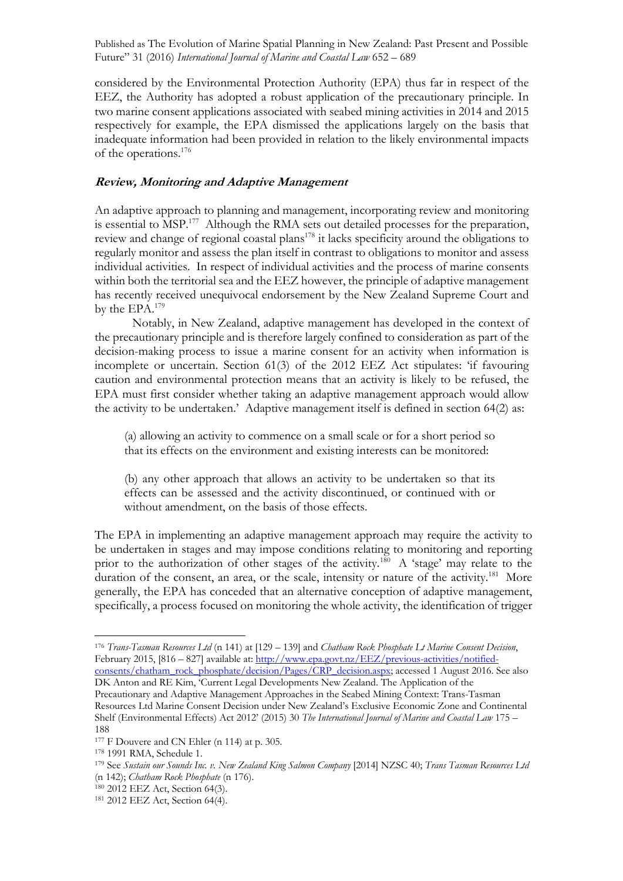considered by the Environmental Protection Authority (EPA) thus far in respect of the EEZ, the Authority has adopted a robust application of the precautionary principle. In two marine consent applications associated with seabed mining activities in 2014 and 2015 respectively for example, the EPA dismissed the applications largely on the basis that inadequate information had been provided in relation to the likely environmental impacts of the operations.176

### **Review, Monitoring and Adaptive Management**

An adaptive approach to planning and management, incorporating review and monitoring is essential to MSP.<sup>177</sup> Although the RMA sets out detailed processes for the preparation, review and change of regional coastal plans<sup>178</sup> it lacks specificity around the obligations to regularly monitor and assess the plan itself in contrast to obligations to monitor and assess individual activities. In respect of individual activities and the process of marine consents within both the territorial sea and the EEZ however, the principle of adaptive management has recently received unequivocal endorsement by the New Zealand Supreme Court and by the EPA.179

Notably, in New Zealand, adaptive management has developed in the context of the precautionary principle and is therefore largely confined to consideration as part of the decision-making process to issue a marine consent for an activity when information is incomplete or uncertain. Section 61(3) of the 2012 EEZ Act stipulates: 'if favouring caution and environmental protection means that an activity is likely to be refused, the EPA must first consider whether taking an adaptive management approach would allow the activity to be undertaken.' Adaptive management itself is defined in section 64(2) as:

(a) allowing an activity to commence on a small scale or for a short period so that its effects on the environment and existing interests can be monitored:

(b) any other approach that allows an activity to be undertaken so that its effects can be assessed and the activity discontinued, or continued with or without amendment, on the basis of those effects.

The EPA in implementing an adaptive management approach may require the activity to be undertaken in stages and may impose conditions relating to monitoring and reporting prior to the authorization of other stages of the activity.<sup>180</sup> A 'stage' may relate to the duration of the consent, an area, or the scale, intensity or nature of the activity.<sup>181</sup> More generally, the EPA has conceded that an alternative conception of adaptive management, specifically, a process focused on monitoring the whole activity, the identification of trigger

<sup>176</sup> *Trans-Tasman Resources Ltd* (n 141) at [129 – 139] and *Chatham Rock Phosphate Lt Marine Consent Decision*, February 2015, [816 – 827] available at: http://www.epa.govt.nz/EEZ/previous-activities/notifiedconsents/chatham\_rock\_phosphate/decision/Pages/CRP\_decision.aspx; accessed 1 August 2016. See also

DK Anton and RE Kim, 'Current Legal Developments New Zealand. The Application of the Precautionary and Adaptive Management Approaches in the Seabed Mining Context: Trans-Tasman Resources Ltd Marine Consent Decision under New Zealand's Exclusive Economic Zone and Continental Shelf (Environmental Effects) Act 2012' (2015) 30 *The International Journal of Marine and Coastal Law* 175 – 188

<sup>&</sup>lt;sup>177</sup> F Douvere and CN Ehler (n 114) at p. 305.

<sup>178</sup> 1991 RMA, Schedule 1.

<sup>179</sup> See *Sustain our Sounds Inc. v. New Zealand King Salmon Company* [2014] NZSC 40; *Trans Tasman Resources Ltd* (n 142); *Chatham Rock Phosphate* (n 176).

<sup>180</sup> 2012 EEZ Act, Section 64(3).

<sup>181</sup> 2012 EEZ Act, Section 64(4).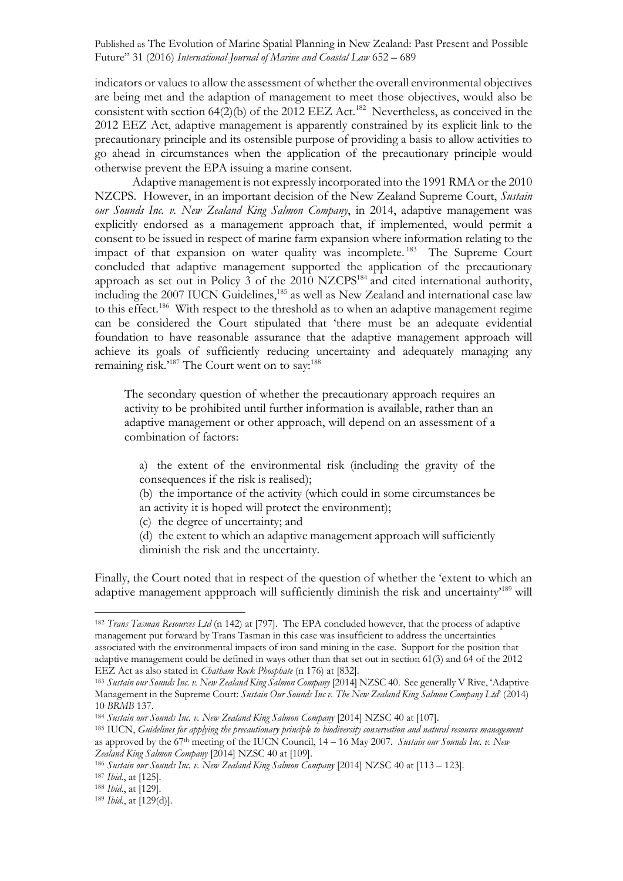indicators or values to allow the assessment of whether the overall environmental objectives are being met and the adaption of management to meet those objectives, would also be consistent with section  $64(2)(b)$  of the 2012 EEZ Act.<sup>182</sup> Nevertheless, as conceived in the 2012 EEZ Act, adaptive management is apparently constrained by its explicit link to the precautionary principle and its ostensible purpose of providing a basis to allow activities to go ahead in circumstances when the application of the precautionary principle would otherwise prevent the EPA issuing a marine consent.

Adaptive management is not expressly incorporated into the 1991 RMA or the 2010 NZCPS. However, in an important decision of the New Zealand Supreme Court, *Sustain our Sounds Inc. v. New Zealand King Salmon Company*, in 2014, adaptive management was explicitly endorsed as a management approach that, if implemented, would permit a consent to be issued in respect of marine farm expansion where information relating to the impact of that expansion on water quality was incomplete.<sup>183</sup> The Supreme Court concluded that adaptive management supported the application of the precautionary approach as set out in Policy 3 of the 2010 NZCPS184 and cited international authority, including the 2007 IUCN Guidelines,<sup>185</sup> as well as New Zealand and international case law to this effect.<sup>186</sup> With respect to the threshold as to when an adaptive management regime can be considered the Court stipulated that 'there must be an adequate evidential foundation to have reasonable assurance that the adaptive management approach will achieve its goals of sufficiently reducing uncertainty and adequately managing any remaining risk.'<sup>187</sup> The Court went on to say:<sup>188</sup>

The secondary question of whether the precautionary approach requires an activity to be prohibited until further information is available, rather than an adaptive management or other approach, will depend on an assessment of a combination of factors:

- a) the extent of the environmental risk (including the gravity of the consequences if the risk is realised);
- (b) the importance of the activity (which could in some circumstances be an activity it is hoped will protect the environment);
- (c) the degree of uncertainty; and
- (d) the extent to which an adaptive management approach will sufficiently diminish the risk and the uncertainty.

Finally, the Court noted that in respect of the question of whether the 'extent to which an adaptive management appproach will sufficiently diminish the risk and uncertainty<sup>189</sup> will

<sup>182</sup> *Trans Tasman Resources Ltd* (n 142) at [797]. The EPA concluded however, that the process of adaptive management put forward by Trans Tasman in this case was insufficient to address the uncertainties associated with the environmental impacts of iron sand mining in the case. Support for the position that adaptive management could be defined in ways other than that set out in section 61(3) and 64 of the 2012 EEZ Act as also stated in *Chatham Rock Phosphate* (n 176) at [832].

<sup>183</sup> *Sustain our Sounds Inc. v. New Zealand King Salmon Company* [2014] NZSC 40. See generally V Rive, 'Adaptive Management in the Supreme Court: *Sustain Our Sounds Inc v. The New Zealand King Salmon Company Ltd*' (2014) 10 *BRMB* 137.

<sup>184</sup> *Sustain our Sounds Inc. v. New Zealand King Salmon Company* [2014] NZSC 40 at [107].

<sup>185</sup> IUCN, *Guidelines for applying the precautionary principle to biodiversity conservation and natural resource management* as approved by the 67th meeting of the IUCN Council, 14 – 16 May 2007. *Sustain our Sounds Inc. v. New Zealand King Salmon Company* [2014] NZSC 40 at [109].

<sup>186</sup> *Sustain our Sounds Inc. v. New Zealand King Salmon Company* [2014] NZSC 40 at [113 – 123].

<sup>187</sup> *Ibid*., at [125].

<sup>188</sup> *Ibid*., at [129].

<sup>189</sup> *Ibid*., at [129(d)].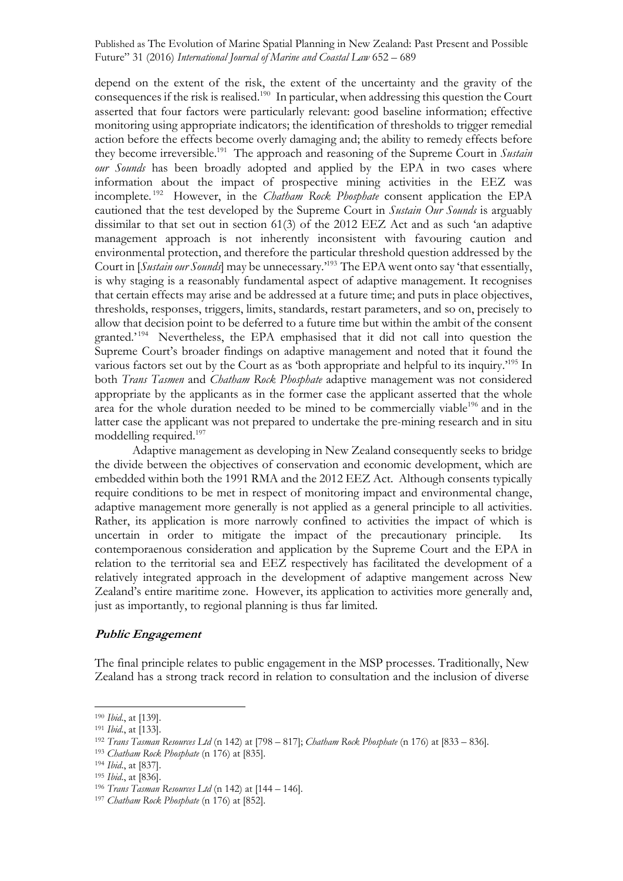depend on the extent of the risk, the extent of the uncertainty and the gravity of the consequences if the risk is realised.<sup>190</sup> In particular, when addressing this question the Court asserted that four factors were particularly relevant: good baseline information; effective monitoring using appropriate indicators; the identification of thresholds to trigger remedial action before the effects become overly damaging and; the ability to remedy effects before they become irreversible.191 The approach and reasoning of the Supreme Court in *Sustain our Sounds* has been broadly adopted and applied by the EPA in two cases where information about the impact of prospective mining activities in the EEZ was incomplete. 192 However, in the *Chatham Rock Phosphate* consent application the EPA cautioned that the test developed by the Supreme Court in *Sustain Our Sounds* is arguably dissimilar to that set out in section 61(3) of the 2012 EEZ Act and as such 'an adaptive management approach is not inherently inconsistent with favouring caution and environmental protection, and therefore the particular threshold question addressed by the Court in [*Sustain our Sounds*] may be unnecessary.' <sup>193</sup> The EPA went onto say 'that essentially, is why staging is a reasonably fundamental aspect of adaptive management. It recognises that certain effects may arise and be addressed at a future time; and puts in place objectives, thresholds, responses, triggers, limits, standards, restart parameters, and so on, precisely to allow that decision point to be deferred to a future time but within the ambit of the consent granted.' 194 Nevertheless, the EPA emphasised that it did not call into question the Supreme Court's broader findings on adaptive management and noted that it found the various factors set out by the Court as as 'both appropriate and helpful to its inquiry.<sup>195</sup> In both *Trans Tasmen* and *Chatham Rock Phosphate* adaptive management was not considered appropriate by the applicants as in the former case the applicant asserted that the whole area for the whole duration needed to be mined to be commercially viable<sup>196</sup> and in the latter case the applicant was not prepared to undertake the pre-mining research and in situ moddelling required.197

Adaptive management as developing in New Zealand consequently seeks to bridge the divide between the objectives of conservation and economic development, which are embedded within both the 1991 RMA and the 2012 EEZ Act. Although consents typically require conditions to be met in respect of monitoring impact and environmental change, adaptive management more generally is not applied as a general principle to all activities. Rather, its application is more narrowly confined to activities the impact of which is uncertain in order to mitigate the impact of the precautionary principle. Its contemporaenous consideration and application by the Supreme Court and the EPA in relation to the territorial sea and EEZ respectively has facilitated the development of a relatively integrated approach in the development of adaptive mangement across New Zealand's entire maritime zone. However, its application to activities more generally and, just as importantly, to regional planning is thus far limited.

# **Public Engagement**

The final principle relates to public engagement in the MSP processes. Traditionally, New Zealand has a strong track record in relation to consultation and the inclusion of diverse

<sup>190</sup> *Ibid*., at [139].

<sup>191</sup> *Ibid*., at [133].

<sup>192</sup> *Trans Tasman Resources Ltd* (n 142) at [798 – 817]; *Chatham Rock Phosphate* (n 176) at [833 – 836].

<sup>193</sup> *Chatham Rock Phosphate* (n 176) at [835].

<sup>194</sup> *Ibid*., at [837].

<sup>195</sup> *Ibid*., at [836].

<sup>196</sup> *Trans Tasman Resources Ltd* (n 142) at [144 – 146].

<sup>197</sup> *Chatham Rock Phosphate* (n 176) at [852].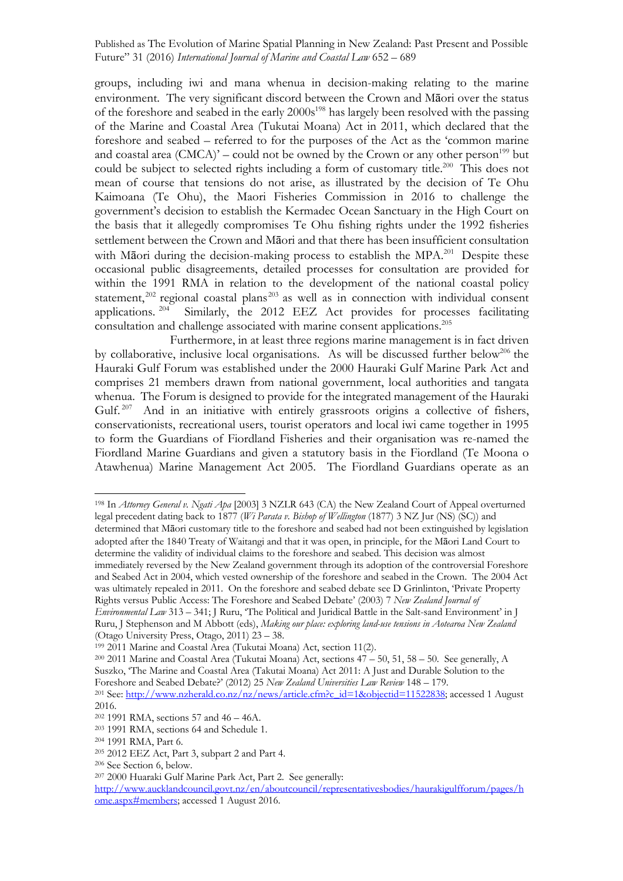groups, including iwi and mana whenua in decision-making relating to the marine environment. The very significant discord between the Crown and Māori over the status of the foreshore and seabed in the early 2000s<sup>198</sup> has largely been resolved with the passing of the Marine and Coastal Area (Tukutai Moana) Act in 2011, which declared that the foreshore and seabed – referred to for the purposes of the Act as the 'common marine and coastal area  $(CMCA)^{2}$  – could not be owned by the Crown or any other person<sup>199</sup> but could be subject to selected rights including a form of customary title.<sup>200</sup> This does not mean of course that tensions do not arise, as illustrated by the decision of Te Ohu Kaimoana (Te Ohu), the Maori Fisheries Commission in 2016 to challenge the government's decision to establish the Kermadec Ocean Sanctuary in the High Court on the basis that it allegedly compromises Te Ohu fishing rights under the 1992 fisheries settlement between the Crown and Māori and that there has been insufficient consultation with Māori during the decision-making process to establish the MPA.<sup>201</sup> Despite these occasional public disagreements, detailed processes for consultation are provided for within the 1991 RMA in relation to the development of the national coastal policy statement,<sup>202</sup> regional coastal plans<sup>203</sup> as well as in connection with individual consent applications. 204 Similarly, the 2012 EEZ Act provides for processes facilitating consultation and challenge associated with marine consent applications.<sup>205</sup>

Furthermore, in at least three regions marine management is in fact driven by collaborative, inclusive local organisations. As will be discussed further below<sup>206</sup> the Hauraki Gulf Forum was established under the 2000 Hauraki Gulf Marine Park Act and comprises 21 members drawn from national government, local authorities and tangata whenua. The Forum is designed to provide for the integrated management of the Hauraki Gulf.<sup>207</sup> And in an initiative with entirely grassroots origins a collective of fishers, conservationists, recreational users, tourist operators and local iwi came together in 1995 to form the Guardians of Fiordland Fisheries and their organisation was re-named the Fiordland Marine Guardians and given a statutory basis in the Fiordland (Te Moona o Atawhenua) Marine Management Act 2005. The Fiordland Guardians operate as an

<sup>198</sup> In *Attorney General v. Ngati Apa* [2003] 3 NZLR 643 (CA) the New Zealand Court of Appeal overturned legal precedent dating back to 1877 (*Wi Parata v. Bishop of Wellington* (1877) 3 NZ Jur (NS) (SC)) and determined that Māori customary title to the foreshore and seabed had not been extinguished by legislation adopted after the 1840 Treaty of Waitangi and that it was open, in principle, for the Māori Land Court to determine the validity of individual claims to the foreshore and seabed. This decision was almost immediately reversed by the New Zealand government through its adoption of the controversial Foreshore and Seabed Act in 2004, which vested ownership of the foreshore and seabed in the Crown. The 2004 Act was ultimately repealed in 2011. On the foreshore and seabed debate see D Grinlinton, 'Private Property Rights versus Public Access: The Foreshore and Seabed Debate' (2003) 7 *New Zealand Journal of* 

*Environmental Law* 313 – 341; J Ruru, 'The Political and Juridical Battle in the Salt-sand Environment' in J Ruru, J Stephenson and M Abbott (eds), *Making our place: exploring land-use tensions in Aotearoa New Zealand*  (Otago University Press, Otago, 2011) 23 – 38.

<sup>199</sup> 2011 Marine and Coastal Area (Tukutai Moana) Act, section 11(2).

<sup>&</sup>lt;sup>200</sup> 2011 Marine and Coastal Area (Tukutai Moana) Act, sections  $47 - 50$ , 51, 58 – 50. See generally, A Suszko, 'The Marine and Coastal Area (Takutai Moana) Act 2011: A Just and Durable Solution to the Foreshore and Seabed Debate?' (2012) 25 *New Zealand Universities Law Review* 148 – 179.

<sup>&</sup>lt;sup>201</sup> See: http://www.nzherald.co.nz/nz/news/article.cfm?c\_id=1&objectid=11522838; accessed 1 August 2016.

<sup>202</sup> 1991 RMA, sections 57 and 46 – 46A.

<sup>203</sup> 1991 RMA, sections 64 and Schedule 1.

<sup>204</sup> 1991 RMA, Part 6.

<sup>205</sup> 2012 EEZ Act, Part 3, subpart 2 and Part 4.

<sup>206</sup> See Section 6, below.

<sup>207</sup> 2000 Huaraki Gulf Marine Park Act, Part 2. See generally:

http://www.aucklandcouncil.govt.nz/en/aboutcouncil/representativesbodies/haurakigulfforum/pages/h ome.aspx#members; accessed 1 August 2016.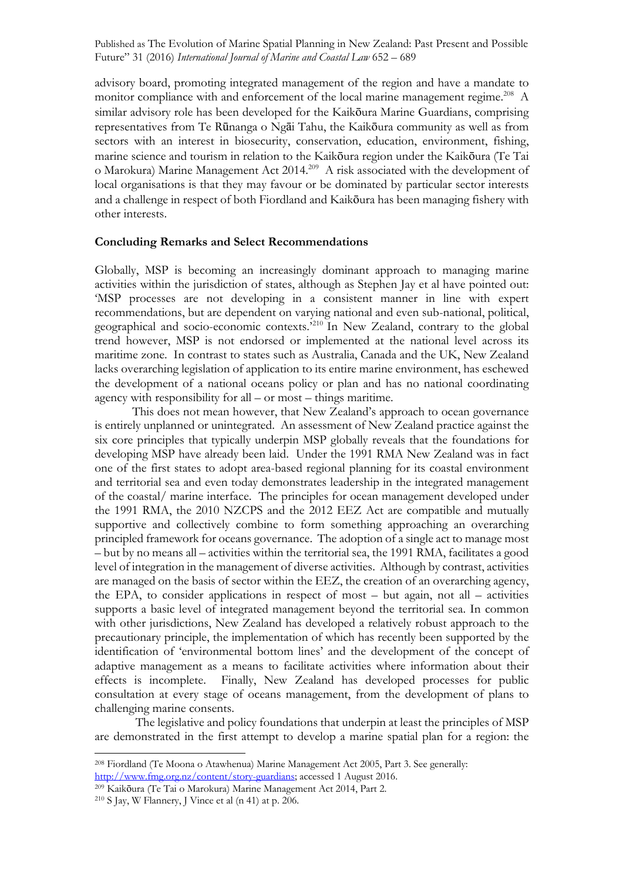advisory board, promoting integrated management of the region and have a mandate to monitor compliance with and enforcement of the local marine management regime.<sup>208</sup> A similar advisory role has been developed for the Kaikōura Marine Guardians, comprising representatives from Te Rūnanga o Ngāi Tahu, the Kaikōura community as well as from sectors with an interest in biosecurity, conservation, education, environment, fishing, marine science and tourism in relation to the Kaikōura region under the Kaikōura (Te Tai o Marokura) Marine Management Act 2014. 209 A risk associated with the development of local organisations is that they may favour or be dominated by particular sector interests and a challenge in respect of both Fiordland and Kaikōura has been managing fishery with other interests.

#### **Concluding Remarks and Select Recommendations**

Globally, MSP is becoming an increasingly dominant approach to managing marine activities within the jurisdiction of states, although as Stephen Jay et al have pointed out: 'MSP processes are not developing in a consistent manner in line with expert recommendations, but are dependent on varying national and even sub-national, political, geographical and socio-economic contexts.' <sup>210</sup> In New Zealand, contrary to the global trend however, MSP is not endorsed or implemented at the national level across its maritime zone. In contrast to states such as Australia, Canada and the UK, New Zealand lacks overarching legislation of application to its entire marine environment, has eschewed the development of a national oceans policy or plan and has no national coordinating agency with responsibility for all – or most – things maritime.

This does not mean however, that New Zealand's approach to ocean governance is entirely unplanned or unintegrated. An assessment of New Zealand practice against the six core principles that typically underpin MSP globally reveals that the foundations for developing MSP have already been laid. Under the 1991 RMA New Zealand was in fact one of the first states to adopt area-based regional planning for its coastal environment and territorial sea and even today demonstrates leadership in the integrated management of the coastal/ marine interface. The principles for ocean management developed under the 1991 RMA, the 2010 NZCPS and the 2012 EEZ Act are compatible and mutually supportive and collectively combine to form something approaching an overarching principled framework for oceans governance. The adoption of a single act to manage most – but by no means all – activities within the territorial sea, the 1991 RMA, facilitates a good level of integration in the management of diverse activities. Although by contrast, activities are managed on the basis of sector within the EEZ, the creation of an overarching agency, the EPA, to consider applications in respect of most – but again, not all – activities supports a basic level of integrated management beyond the territorial sea. In common with other jurisdictions, New Zealand has developed a relatively robust approach to the precautionary principle, the implementation of which has recently been supported by the identification of 'environmental bottom lines' and the development of the concept of adaptive management as a means to facilitate activities where information about their effects is incomplete. Finally, New Zealand has developed processes for public consultation at every stage of oceans management, from the development of plans to challenging marine consents.

The legislative and policy foundations that underpin at least the principles of MSP are demonstrated in the first attempt to develop a marine spatial plan for a region: the

<sup>208</sup> Fiordland (Te Moona o Atawhenua) Marine Management Act 2005, Part 3. See generally: http://www.fmg.org.nz/content/story-guardians; accessed 1 August 2016.

<sup>209</sup> Kaikōura (Te Tai o Marokura) Marine Management Act 2014, Part 2.

 $210$  S Jay, W Flannery, J Vince et al (n 41) at p. 206.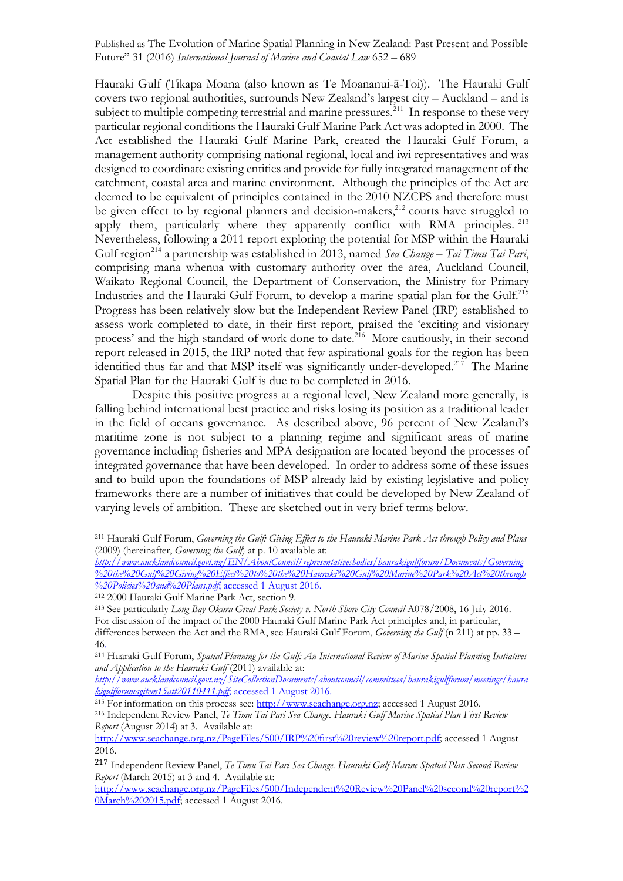Hauraki Gulf (Tikapa Moana (also known as Te Moananui-ā-Toi)). The Hauraki Gulf covers two regional authorities, surrounds New Zealand's largest city – Auckland – and is subject to multiple competing terrestrial and marine pressures.<sup> $211$ </sup> In response to these very particular regional conditions the Hauraki Gulf Marine Park Act was adopted in 2000. The Act established the Hauraki Gulf Marine Park, created the Hauraki Gulf Forum, a management authority comprising national regional, local and iwi representatives and was designed to coordinate existing entities and provide for fully integrated management of the catchment, coastal area and marine environment. Although the principles of the Act are deemed to be equivalent of principles contained in the 2010 NZCPS and therefore must be given effect to by regional planners and decision-makers,<sup>212</sup> courts have struggled to apply them, particularly where they apparently conflict with RMA principles. <sup>213</sup> Nevertheless, following a 2011 report exploring the potential for MSP within the Hauraki Gulf region<sup>214</sup> a partnership was established in 2013, named *Sea Change – Tai Timu Tai Pari*, comprising mana whenua with customary authority over the area, Auckland Council, Waikato Regional Council, the Department of Conservation, the Ministry for Primary Industries and the Hauraki Gulf Forum, to develop a marine spatial plan for the Gulf.215 Progress has been relatively slow but the Independent Review Panel (IRP) established to assess work completed to date, in their first report, praised the 'exciting and visionary process' and the high standard of work done to date.216 More cautiously, in their second report released in 2015, the IRP noted that few aspirational goals for the region has been identified thus far and that MSP itself was significantly under-developed.<sup>217</sup> The Marine Spatial Plan for the Hauraki Gulf is due to be completed in 2016.

Despite this positive progress at a regional level, New Zealand more generally, is falling behind international best practice and risks losing its position as a traditional leader in the field of oceans governance. As described above, 96 percent of New Zealand's maritime zone is not subject to a planning regime and significant areas of marine governance including fisheries and MPA designation are located beyond the processes of integrated governance that have been developed. In order to address some of these issues and to build upon the foundations of MSP already laid by existing legislative and policy frameworks there are a number of initiatives that could be developed by New Zealand of varying levels of ambition. These are sketched out in very brief terms below.

<sup>211</sup> Hauraki Gulf Forum, *Governing the Gulf: Giving Effect to the Hauraki Marine Park Act through Policy and Plans*  (2009) (hereinafter, *Governing the Gulf*) at p. 10 available at:

*http://www.aucklandcouncil.govt.nz/EN/AboutCouncil/representativesbodies/haurakigulfforum/Documents/Governing %20the%20Gulf%20Giving%20Effect%20to%20the%20Hauraki%20Gulf%20Marine%20Park%20Act%20through %20Policies%20and%20Plans.pdf*; accessed 1 August 2016.

<sup>212</sup> 2000 Hauraki Gulf Marine Park Act, section 9.

<sup>&</sup>lt;sup>213</sup> See particularly *Long Bay-Okura Great Park Society v. North Shore City Council A078/2008*, 16 July 2016. For discussion of the impact of the 2000 Hauraki Gulf Marine Park Act principles and, in particular, differences between the Act and the RMA, see Hauraki Gulf Forum, *Governing the Gulf* (n 211) at pp. 33 – 46.

<sup>214</sup> Huaraki Gulf Forum, *Spatial Planning for the Gulf: An International Review of Marine Spatial Planning Initiatives and Application to the Hauraki Gulf* (2011) available at:

*http://www.aucklandcouncil.govt.nz/SiteCollectionDocuments/aboutcouncil/committees/haurakigulfforum/meetings/haura kigulfforumagitem15att20110411.pdf*; accessed 1 August 2016.

<sup>&</sup>lt;sup>215</sup> For information on this process see: http://www.seachange.org.nz; accessed 1 August 2016. <sup>216</sup> Independent Review Panel, *Te Timu Tai Pari Sea Change. Hauraki Gulf Marine Spatial Plan First Review Report* (August 2014) at 3. Available at:

http://www.seachange.org.nz/PageFiles/500/IRP%20first%20review%20report.pdf; accessed 1 August 2016.

<sup>217</sup> Independent Review Panel, *Te Timu Tai Pari Sea Change. Hauraki Gulf Marine Spatial Plan Second Review Report* (March 2015) at 3 and 4. Available at:

http://www.seachange.org.nz/PageFiles/500/Independent%20Review%20Panel%20second%20report%2 0March%202015.pdf; accessed 1 August 2016.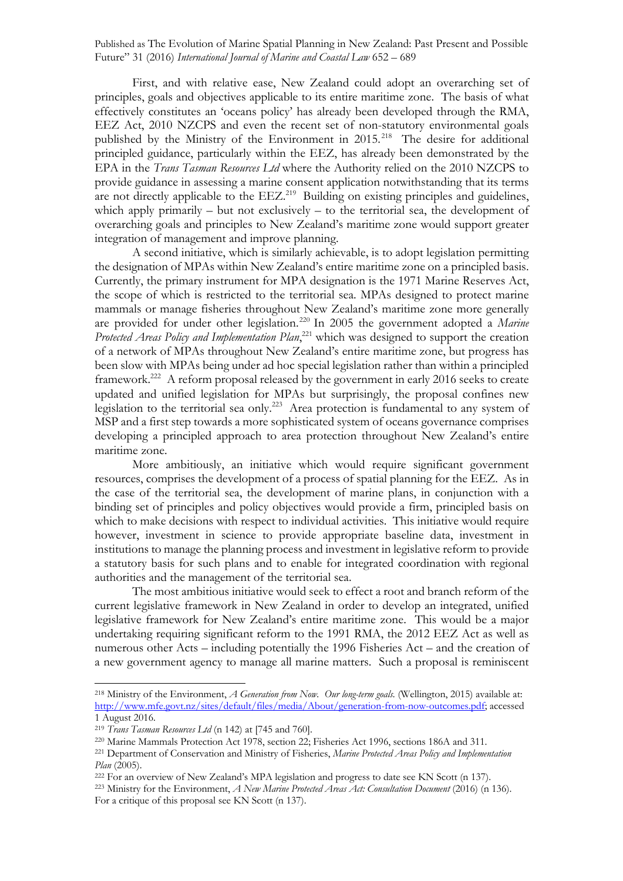First, and with relative ease, New Zealand could adopt an overarching set of principles, goals and objectives applicable to its entire maritime zone. The basis of what effectively constitutes an 'oceans policy' has already been developed through the RMA, EEZ Act, 2010 NZCPS and even the recent set of non-statutory environmental goals published by the Ministry of the Environment in 2015.<sup>218</sup> The desire for additional principled guidance, particularly within the EEZ, has already been demonstrated by the EPA in the *Trans Tasman Resources Ltd* where the Authority relied on the 2010 NZCPS to provide guidance in assessing a marine consent application notwithstanding that its terms are not directly applicable to the EEZ.<sup>219</sup> Building on existing principles and guidelines, which apply primarily – but not exclusively – to the territorial sea, the development of overarching goals and principles to New Zealand's maritime zone would support greater integration of management and improve planning.

A second initiative, which is similarly achievable, is to adopt legislation permitting the designation of MPAs within New Zealand's entire maritime zone on a principled basis. Currently, the primary instrument for MPA designation is the 1971 Marine Reserves Act, the scope of which is restricted to the territorial sea. MPAs designed to protect marine mammals or manage fisheries throughout New Zealand's maritime zone more generally are provided for under other legislation.220 In 2005 the government adopted a *Marine Protected Areas Policy and Implementation Plan*, <sup>221</sup> which was designed to support the creation of a network of MPAs throughout New Zealand's entire maritime zone, but progress has been slow with MPAs being under ad hoc special legislation rather than within a principled framework.<sup>222</sup> A reform proposal released by the government in early 2016 seeks to create updated and unified legislation for MPAs but surprisingly, the proposal confines new legislation to the territorial sea only.223 Area protection is fundamental to any system of MSP and a first step towards a more sophisticated system of oceans governance comprises developing a principled approach to area protection throughout New Zealand's entire maritime zone.

More ambitiously, an initiative which would require significant government resources, comprises the development of a process of spatial planning for the EEZ. As in the case of the territorial sea, the development of marine plans, in conjunction with a binding set of principles and policy objectives would provide a firm, principled basis on which to make decisions with respect to individual activities. This initiative would require however, investment in science to provide appropriate baseline data, investment in institutions to manage the planning process and investment in legislative reform to provide a statutory basis for such plans and to enable for integrated coordination with regional authorities and the management of the territorial sea.

The most ambitious initiative would seek to effect a root and branch reform of the current legislative framework in New Zealand in order to develop an integrated, unified legislative framework for New Zealand's entire maritime zone. This would be a major undertaking requiring significant reform to the 1991 RMA, the 2012 EEZ Act as well as numerous other Acts – including potentially the 1996 Fisheries Act – and the creation of a new government agency to manage all marine matters. Such a proposal is reminiscent

<sup>218</sup> Ministry of the Environment, *A Generation from Now. Our long-term goals.* (Wellington, 2015) available at: http://www.mfe.govt.nz/sites/default/files/media/About/generation-from-now-outcomes.pdf; accessed 1 August 2016.

<sup>219</sup> *Trans Tasman Resources Ltd* (n 142) at [745 and 760].

<sup>220</sup> Marine Mammals Protection Act 1978, section 22; Fisheries Act 1996, sections 186A and 311.

<sup>221</sup> Department of Conservation and Ministry of Fisheries, *Marine Protected Areas Policy and Implementation Plan* (2005).

<sup>222</sup> For an overview of New Zealand's MPA legislation and progress to date see KN Scott (n 137).

<sup>&</sup>lt;sup>223</sup> Ministry for the Environment, *A New Marine Protected Areas Act: Consultation Document* (2016) (n 136). For a critique of this proposal see KN Scott (n 137).